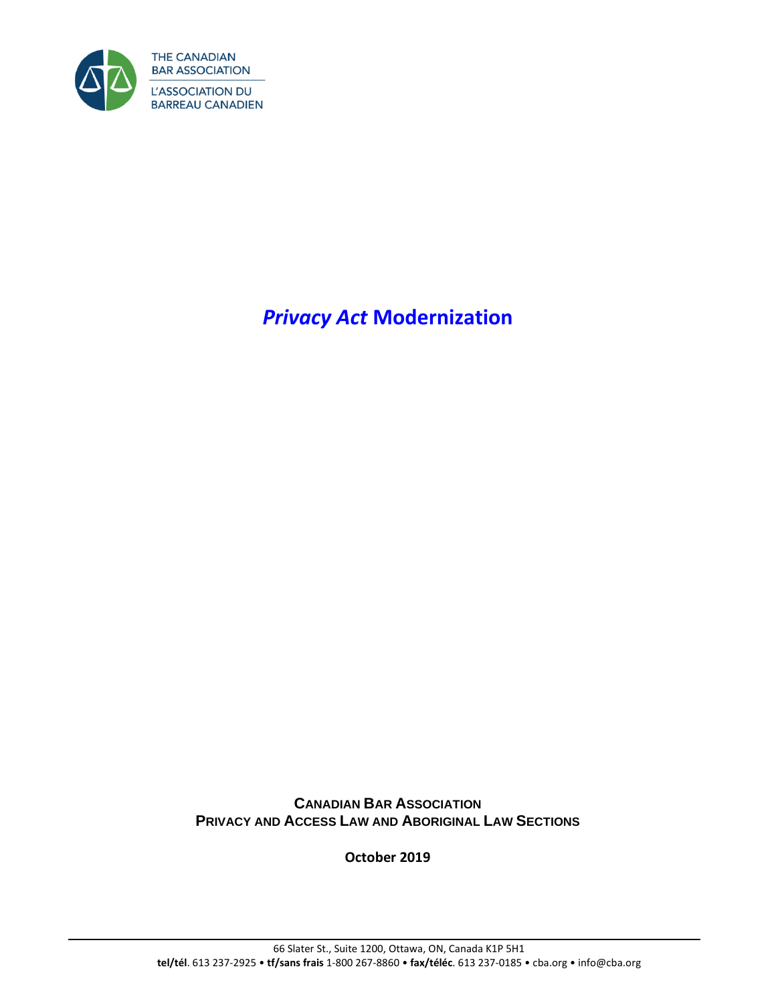

*Privacy Act* **Modernization**

**CANADIAN BAR ASSOCIATION PRIVACY AND ACCESS LAW AND ABORIGINAL LAW SECTIONS**

**October 2019**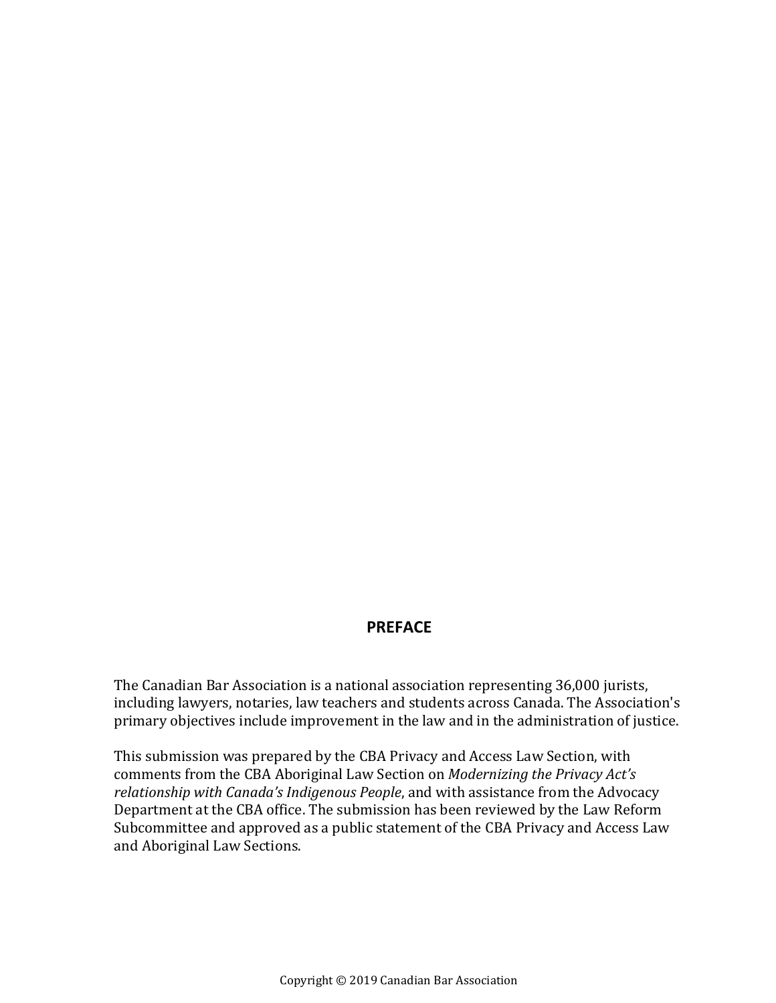### **PREFACE**

The Canadian Bar Association is a national association representing 36,000 jurists, including lawyers, notaries, law teachers and students across Canada. The Association's primary objectives include improvement in the law and in the administration of justice.

This submission was prepared by the CBA Privacy and Access Law Section, with comments from the CBA Aboriginal Law Section on *Modernizing the Privacy Act's relationship with Canada's Indigenous People*, and with assistance from the Advocacy Department at the CBA office. The submission has been reviewed by the Law Reform Subcommittee and approved as a public statement of the CBA Privacy and Access Law and Aboriginal Law Sections.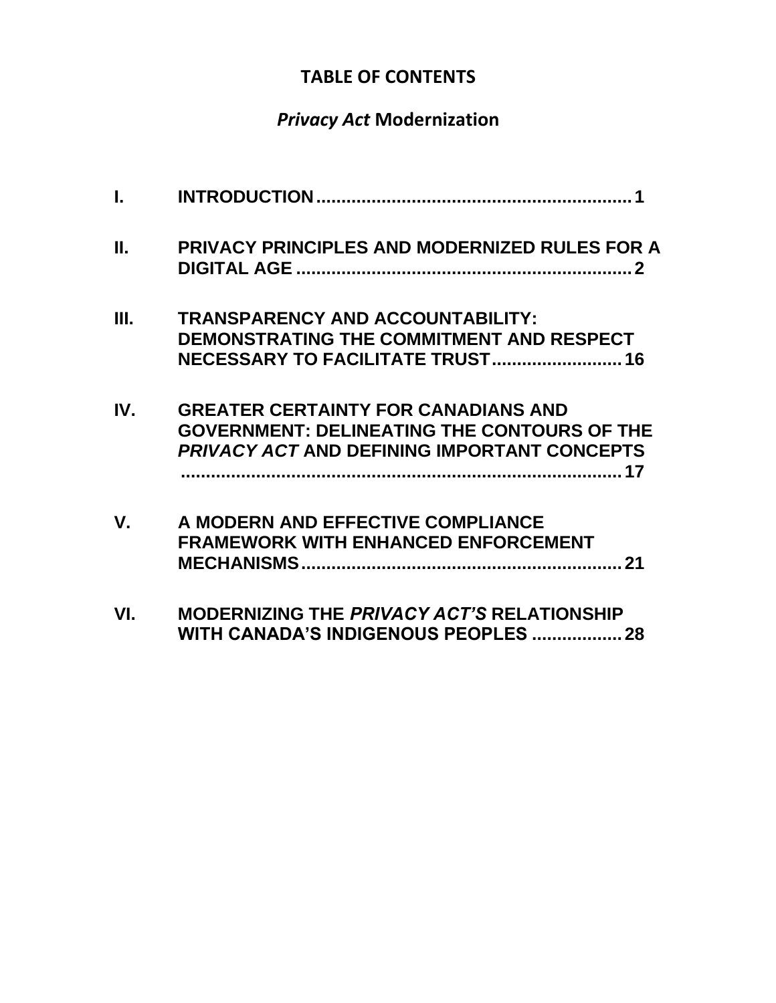## **TABLE OF CONTENTS**

# *Privacy Act* **Modernization**

| $\mathbf{L}$ |                                                                                                                                                        |
|--------------|--------------------------------------------------------------------------------------------------------------------------------------------------------|
| П.           | PRIVACY PRINCIPLES AND MODERNIZED RULES FOR A                                                                                                          |
| Ш.           | <b>TRANSPARENCY AND ACCOUNTABILITY:</b><br>DEMONSTRATING THE COMMITMENT AND RESPECT<br>NECESSARY TO FACILITATE TRUST 16                                |
| IV.          | <b>GREATER CERTAINTY FOR CANADIANS AND</b><br><b>GOVERNMENT: DELINEATING THE CONTOURS OF THE</b><br><b>PRIVACY ACT AND DEFINING IMPORTANT CONCEPTS</b> |
| V.           | A MODERN AND EFFECTIVE COMPLIANCE<br><b>FRAMEWORK WITH ENHANCED ENFORCEMENT</b>                                                                        |
| VI.          | <b>MODERNIZING THE PRIVACY ACT'S RELATIONSHIP</b><br>WITH CANADA'S INDIGENOUS PEOPLES<br>28                                                            |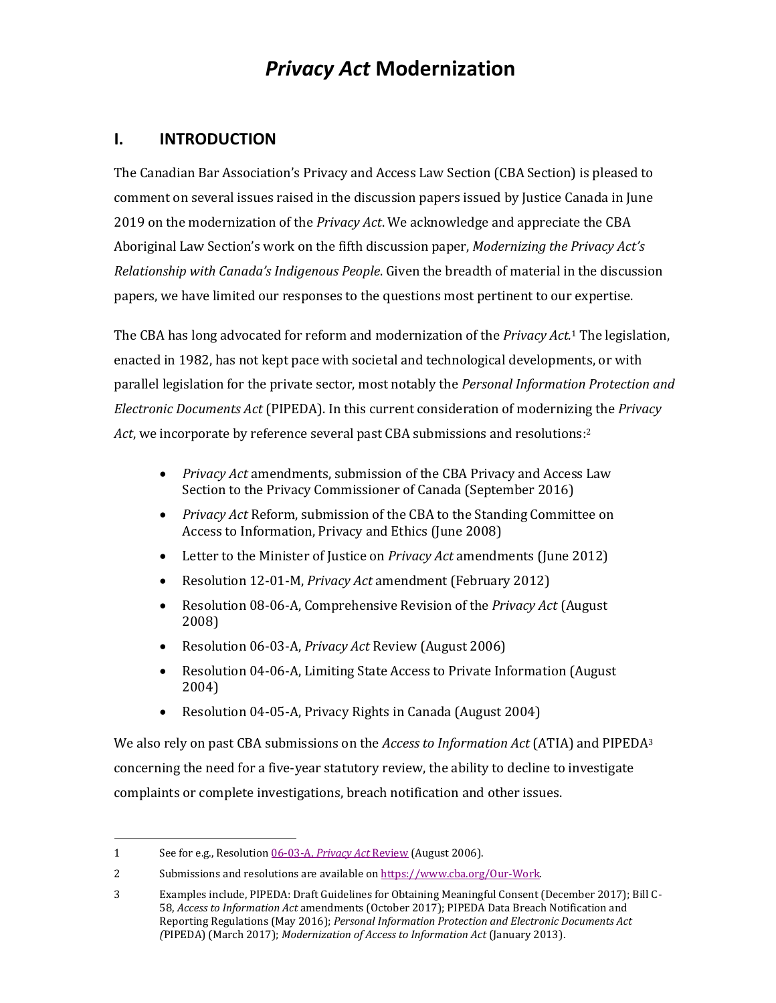## *Privacy Act* **Modernization**

#### <span id="page-4-0"></span>**I. INTRODUCTION**

The Canadian Bar Association's Privacy and Access Law Section (CBA Section) is pleased to comment on several issues raised in the discussion papers issued by Justice Canada in June 2019 on the modernization of the *Privacy Act*. We acknowledge and appreciate the CBA Aboriginal Law Section's work on the fifth discussion paper, *Modernizing the Privacy Act's Relationship with Canada's Indigenous People*. Given the breadth of material in the discussion papers, we have limited our responses to the questions most pertinent to our expertise.

The CBA has long advocated for reform and modernization of the *Privacy Act.* <sup>1</sup> The legislation, enacted in 1982, has not kept pace with societal and technological developments, or with parallel legislation for the private sector, most notably the *Personal Information Protection and Electronic Documents Act* (PIPEDA). In this current consideration of modernizing the *Privacy Act*, we incorporate by reference several past CBA submissions and resolutions: 2

- *Privacy Act* amendments, submission of the CBA Privacy and Access Law Section to the Privacy Commissioner of Canada (September 2016)
- *Privacy Act* Reform, submission of the CBA to the Standing Committee on Access to Information, Privacy and Ethics (June 2008)
- Letter to the Minister of Justice on *Privacy Act* amendments (June 2012)
- Resolution 12-01-M, *Privacy Act* amendment (February 2012)
- Resolution 08-06-A, Comprehensive Revision of the *Privacy Act* (August 2008)
- Resolution 06-03-A, *Privacy Act* Review (August 2006)
- Resolution 04-06-A, Limiting State Access to Private Information (August) 2004)
- Resolution 04-05-A, Privacy Rights in Canada (August 2004)

We also rely on past CBA submissions on the *Access to Information Act* (ATIA) and PIPEDA<sup>3</sup> concerning the need for a five-year statutory review, the ability to decline to investigate complaints or complete investigations, breach notification and other issues.

<sup>1</sup> See for e.g., Resolution 06-03-A, *[Privacy Act](https://www.cba.org/Our-Work/Resolutions/Resolutions/2006/Examen-de-la-em-Loi-sur-la-protection-des-renseign)* Review (August 2006).

<sup>2</sup> Submissions and resolutions are available o[n https://www.cba.org/Our-Work.](https://www.cba.org/Our-Work) 

<sup>3</sup> Examples include, PIPEDA: Draft Guidelines for Obtaining Meaningful Consent (December 2017); Bill C-58, *Access to Information Act* amendments (October 2017); PIPEDA Data Breach Notification and Reporting Regulations (May 2016); *Personal Information Protection and Electronic Documents Act (*PIPEDA) (March 2017); *Modernization of Access to Information Act* (January 2013).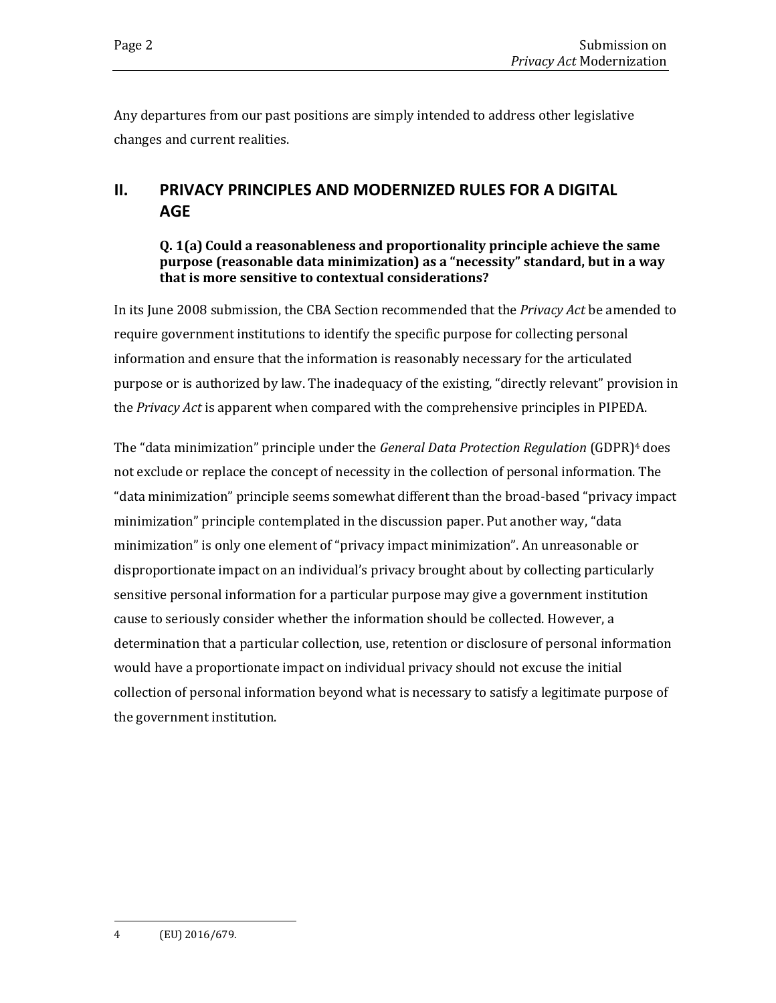Any departures from our past positions are simply intended to address other legislative changes and current realities.

## <span id="page-5-0"></span>**II. PRIVACY PRINCIPLES AND MODERNIZED RULES FOR A DIGITAL AGE**

#### **Q. 1(a) Could a reasonableness and proportionality principle achieve the same purpose (reasonable data minimization) as a "necessity" standard, but in a way that is more sensitive to contextual considerations?**

In its June 2008 submission, the CBA Section recommended that the *Privacy Act* be amended to require government institutions to identify the specific purpose for collecting personal information and ensure that the information is reasonably necessary for the articulated purpose or is authorized by law. The inadequacy of the existing, "directly relevant" provision in the *Privacy Act* is apparent when compared with the comprehensive principles in PIPEDA.

The "data minimization" principle under the *General Data Protection Regulation* (GDPR)<sup>4</sup> does not exclude or replace the concept of necessity in the collection of personal information. The "data minimization" principle seems somewhat different than the broad-based "privacy impact minimization" principle contemplated in the discussion paper. Put another way, "data minimization" is only one element of "privacy impact minimization". An unreasonable or disproportionate impact on an individual's privacy brought about by collecting particularly sensitive personal information for a particular purpose may give a government institution cause to seriously consider whether the information should be collected. However, a determination that a particular collection, use, retention or disclosure of personal information would have a proportionate impact on individual privacy should not excuse the initial collection of personal information beyond what is necessary to satisfy a legitimate purpose of the government institution.

<sup>4</sup> (EU) 2016/679.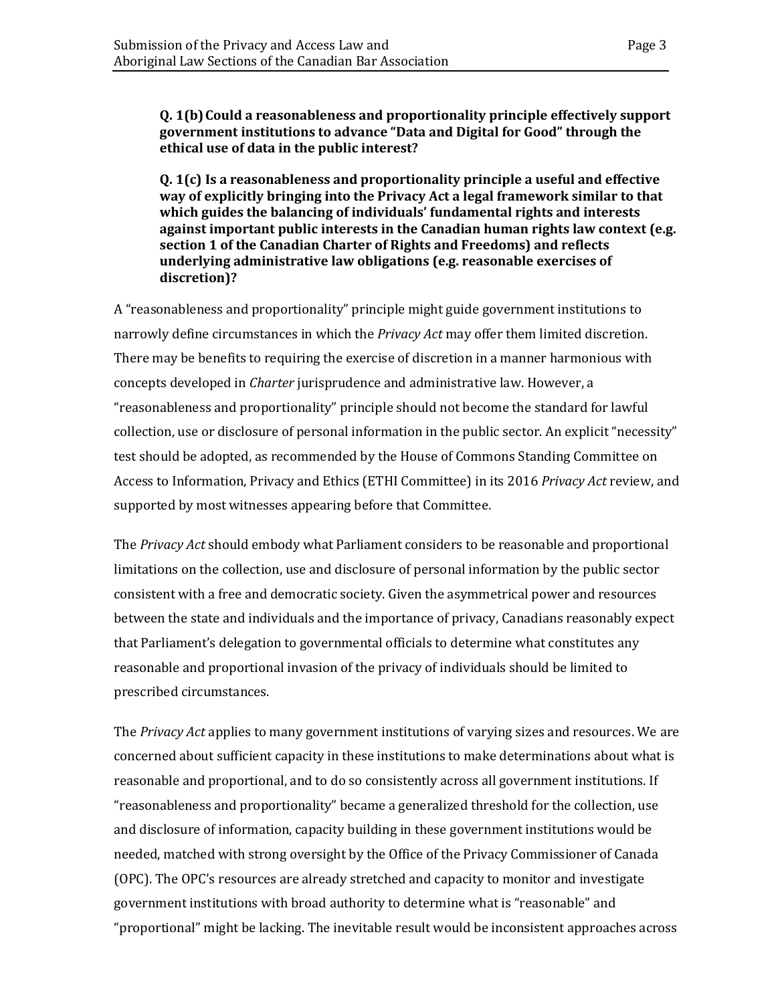**Q. 1(b)Could a reasonableness and proportionality principle effectively support government institutions to advance "Data and Digital for Good" through the ethical use of data in the public interest?**

**Q. 1(c) Is a reasonableness and proportionality principle a useful and effective way of explicitly bringing into the Privacy Act a legal framework similar to that which guides the balancing of individuals' fundamental rights and interests against important public interests in the Canadian human rights law context (e.g. section 1 of the Canadian Charter of Rights and Freedoms) and reflects underlying administrative law obligations (e.g. reasonable exercises of discretion)?**

A "reasonableness and proportionality" principle might guide government institutions to narrowly define circumstances in which the *Privacy Act* may offer them limited discretion. There may be benefits to requiring the exercise of discretion in a manner harmonious with concepts developed in *Charter* jurisprudence and administrative law. However, a "reasonableness and proportionality" principle should not become the standard for lawful collection, use or disclosure of personal information in the public sector. An explicit "necessity" test should be adopted, as recommended by the House of Commons Standing Committee on Access to Information, Privacy and Ethics (ETHI Committee) in its 2016 *Privacy Act* review, and supported by most witnesses appearing before that Committee.

The *Privacy Act* should embody what Parliament considers to be reasonable and proportional limitations on the collection, use and disclosure of personal information by the public sector consistent with a free and democratic society. Given the asymmetrical power and resources between the state and individuals and the importance of privacy, Canadians reasonably expect that Parliament's delegation to governmental officials to determine what constitutes any reasonable and proportional invasion of the privacy of individuals should be limited to prescribed circumstances.

The *Privacy Act* applies to many government institutions of varying sizes and resources. We are concerned about sufficient capacity in these institutions to make determinations about what is reasonable and proportional, and to do so consistently across all government institutions. If "reasonableness and proportionality" became a generalized threshold for the collection, use and disclosure of information, capacity building in these government institutions would be needed, matched with strong oversight by the Office of the Privacy Commissioner of Canada (OPC). The OPC's resources are already stretched and capacity to monitor and investigate government institutions with broad authority to determine what is "reasonable" and "proportional" might be lacking. The inevitable result would be inconsistent approaches across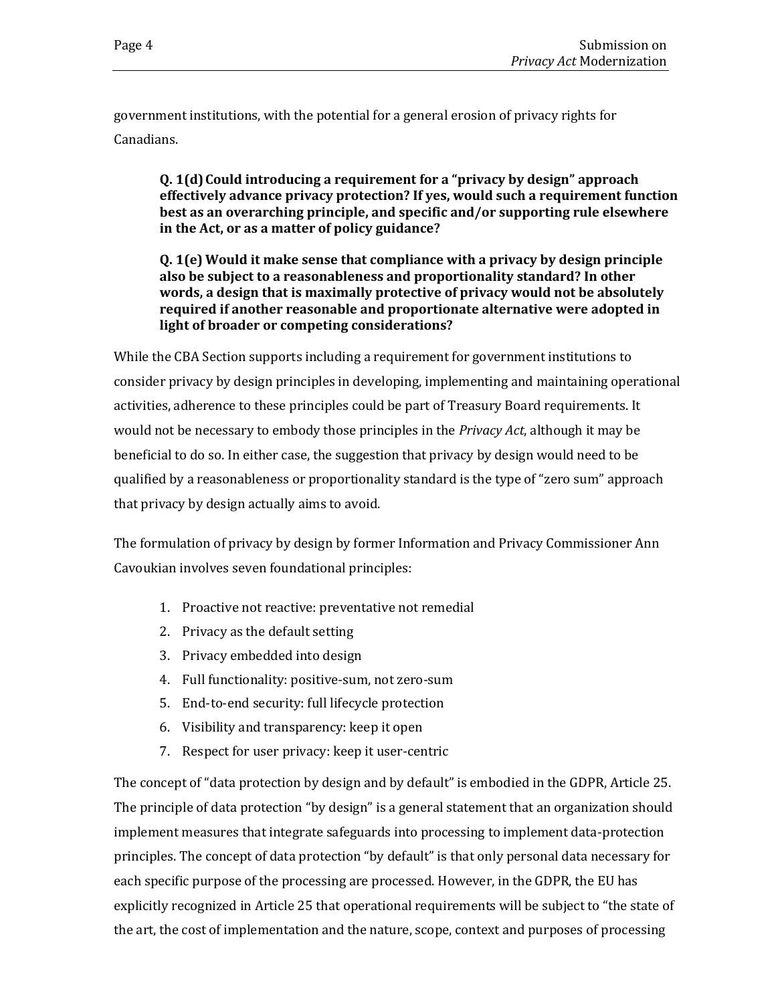government institutions, with the potential for a general erosion of privacy rights for Canadians.

**Q. 1(d)Could introducing a requirement for a "privacy by design" approach effectively advance privacy protection? If yes, would such a requirement function best as an overarching principle, and specific and/or supporting rule elsewhere in the Act, or as a matter of policy guidance?**

**Q. 1(e) Would it make sense that compliance with a privacy by design principle also be subject to a reasonableness and proportionality standard? In other words, a design that is maximally protective of privacy would not be absolutely required if another reasonable and proportionate alternative were adopted in light of broader or competing considerations?**

While the CBA Section supports including a requirement for government institutions to consider privacy by design principles in developing, implementing and maintaining operational activities, adherence to these principles could be part of Treasury Board requirements. It would not be necessary to embody those principles in the *Privacy Act*, although it may be beneficial to do so. In either case, the suggestion that privacy by design would need to be qualified by a reasonableness or proportionality standard is the type of "zero sum" approach that privacy by design actually aims to avoid.

The formulation of privacy by design by former Information and Privacy Commissioner Ann Cavoukian involves seven foundational principles:

- 1. Proactive not reactive: preventative not remedial
- 2. Privacy as the default setting
- 3. Privacy embedded into design
- 4. Full functionality: positive-sum, not zero-sum
- 5. End-to-end security: full lifecycle protection
- 6. Visibility and transparency: keep it open
- 7. Respect for user privacy: keep it user-centric

The concept of "data protection by design and by default" is embodied in the GDPR, Article 25. The principle of data protection "by design" is a general statement that an organization should implement measures that integrate safeguards into processing to implement data-protection principles. The concept of data protection "by default" is that only personal data necessary for each specific purpose of the processing are processed. However, in the GDPR, the EU has explicitly recognized in Article 25 that operational requirements will be subject to "the state of the art, the cost of implementation and the nature, scope, context and purposes of processing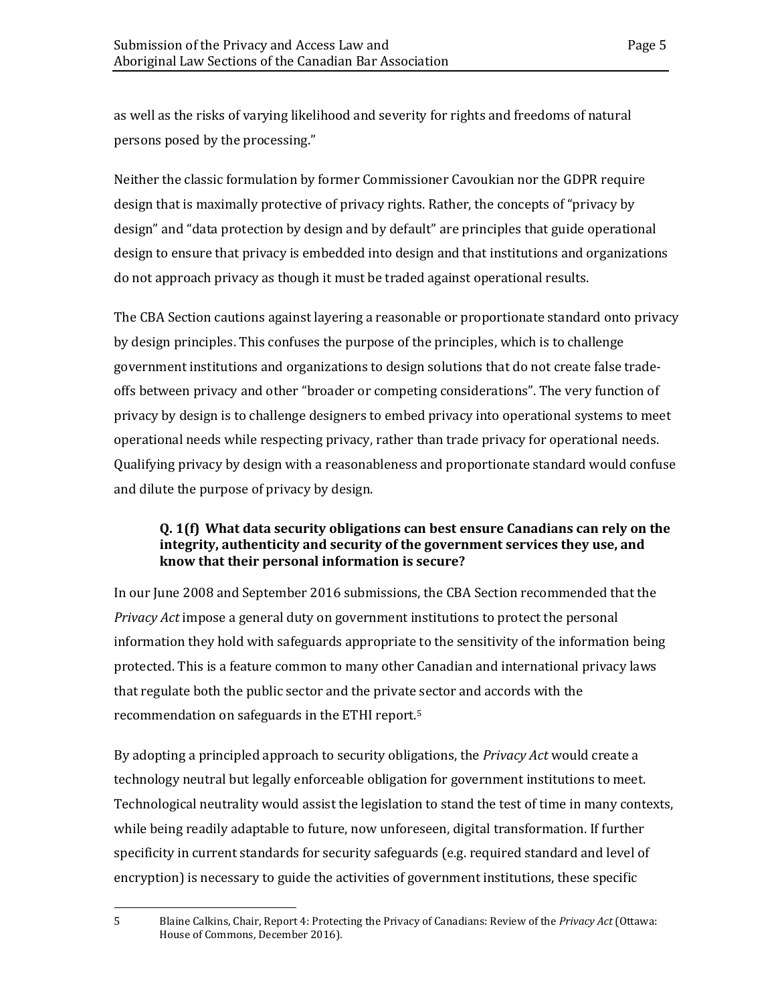as well as the risks of varying likelihood and severity for rights and freedoms of natural persons posed by the processing."

Neither the classic formulation by former Commissioner Cavoukian nor the GDPR require design that is maximally protective of privacy rights. Rather, the concepts of "privacy by design" and "data protection by design and by default" are principles that guide operational design to ensure that privacy is embedded into design and that institutions and organizations do not approach privacy as though it must be traded against operational results.

The CBA Section cautions against layering a reasonable or proportionate standard onto privacy by design principles. This confuses the purpose of the principles, which is to challenge government institutions and organizations to design solutions that do not create false tradeoffs between privacy and other "broader or competing considerations". The very function of privacy by design is to challenge designers to embed privacy into operational systems to meet operational needs while respecting privacy, rather than trade privacy for operational needs. Qualifying privacy by design with a reasonableness and proportionate standard would confuse and dilute the purpose of privacy by design.

#### **Q. 1(f) What data security obligations can best ensure Canadians can rely on the integrity, authenticity and security of the government services they use, and know that their personal information is secure?**

In our June 2008 and September 2016 submissions, the CBA Section recommended that the *Privacy Act* impose a general duty on government institutions to protect the personal information they hold with safeguards appropriate to the sensitivity of the information being protected. This is a feature common to many other Canadian and international privacy laws that regulate both the public sector and the private sector and accords with the recommendation on safeguards in the ETHI report. 5

By adopting a principled approach to security obligations, the *Privacy Act* would create a technology neutral but legally enforceable obligation for government institutions to meet. Technological neutrality would assist the legislation to stand the test of time in many contexts, while being readily adaptable to future, now unforeseen, digital transformation. If further specificity in current standards for security safeguards (e.g. required standard and level of encryption) is necessary to guide the activities of government institutions, these specific

<sup>5</sup> Blaine Calkins, Chair, Report 4: Protecting the Privacy of Canadians: Review of the *Privacy Act* (Ottawa: House of Commons, December 2016).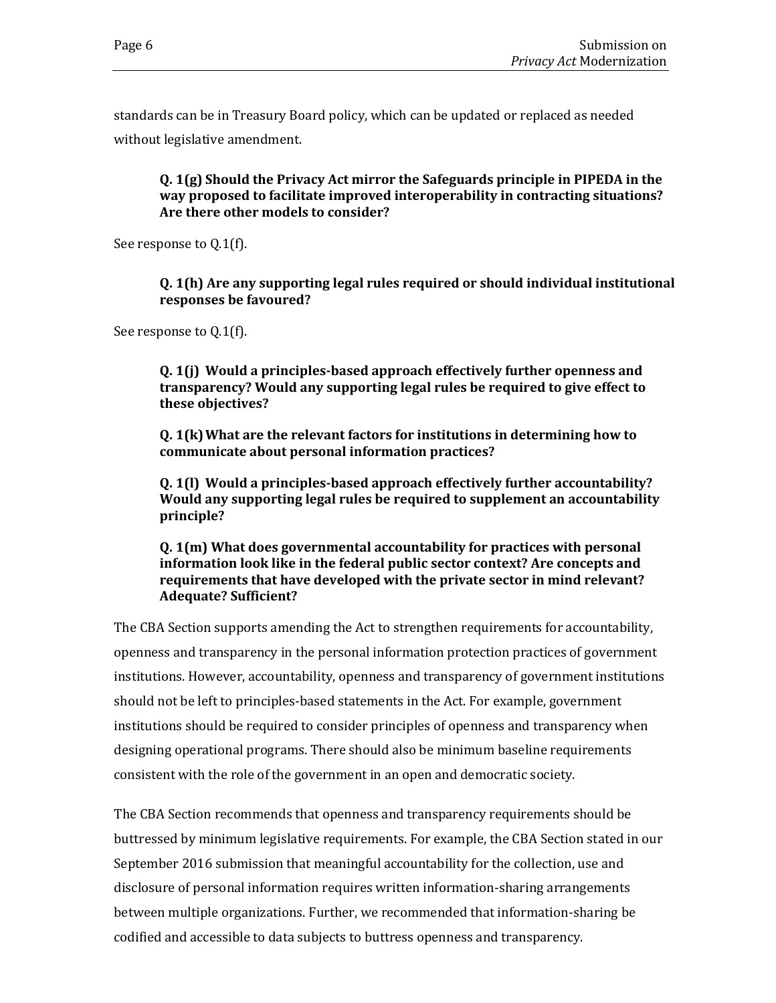standards can be in Treasury Board policy, which can be updated or replaced as needed without legislative amendment.

**Q. 1(g) Should the Privacy Act mirror the Safeguards principle in PIPEDA in the way proposed to facilitate improved interoperability in contracting situations? Are there other models to consider?**

See response to Q.1(f).

**Q. 1(h) Are any supporting legal rules required or should individual institutional responses be favoured?**

See response to Q.1(f).

**Q. 1(j) Would a principles-based approach effectively further openness and transparency? Would any supporting legal rules be required to give effect to these objectives?**

**Q. 1(k)What are the relevant factors for institutions in determining how to communicate about personal information practices?**

**Q. 1(l) Would a principles-based approach effectively further accountability? Would any supporting legal rules be required to supplement an accountability principle?**

**Q. 1(m) What does governmental accountability for practices with personal information look like in the federal public sector context? Are concepts and requirements that have developed with the private sector in mind relevant? Adequate? Sufficient?**

The CBA Section supports amending the Act to strengthen requirements for accountability, openness and transparency in the personal information protection practices of government institutions. However, accountability, openness and transparency of government institutions should not be left to principles-based statements in the Act. For example, government institutions should be required to consider principles of openness and transparency when designing operational programs. There should also be minimum baseline requirements consistent with the role of the government in an open and democratic society.

The CBA Section recommends that openness and transparency requirements should be buttressed by minimum legislative requirements. For example, the CBA Section stated in our September 2016 submission that meaningful accountability for the collection, use and disclosure of personal information requires written information-sharing arrangements between multiple organizations. Further, we recommended that information-sharing be codified and accessible to data subjects to buttress openness and transparency.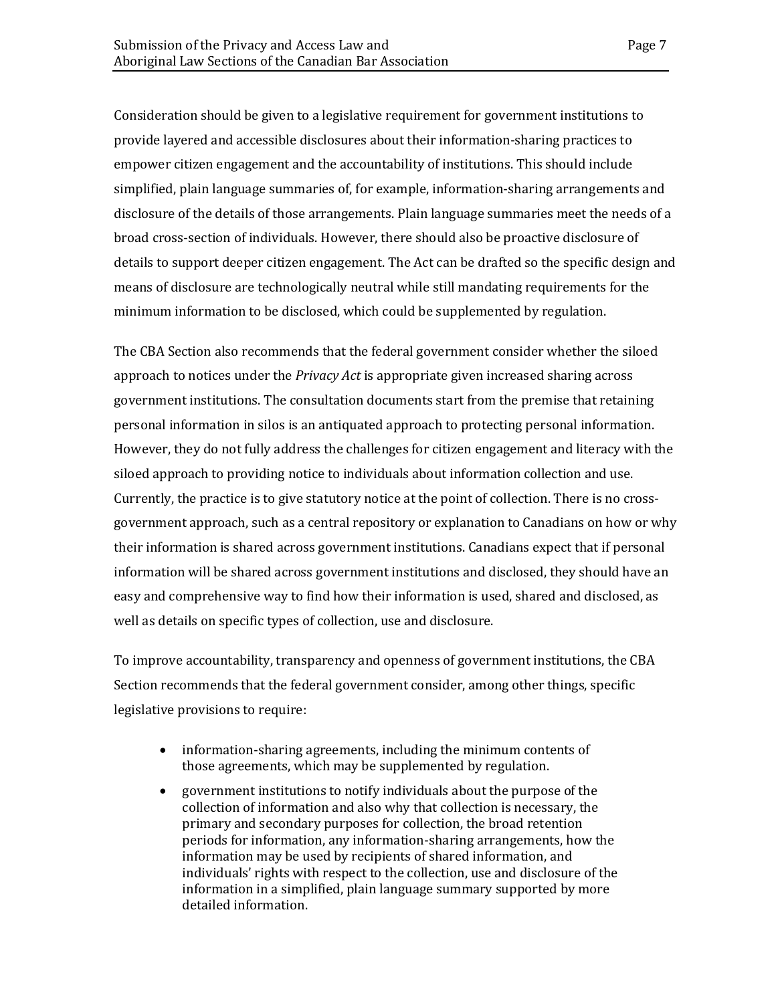Consideration should be given to a legislative requirement for government institutions to provide layered and accessible disclosures about their information-sharing practices to empower citizen engagement and the accountability of institutions. This should include simplified, plain language summaries of, for example, information-sharing arrangements and disclosure of the details of those arrangements. Plain language summaries meet the needs of a broad cross-section of individuals. However, there should also be proactive disclosure of details to support deeper citizen engagement. The Act can be drafted so the specific design and means of disclosure are technologically neutral while still mandating requirements for the minimum information to be disclosed, which could be supplemented by regulation.

The CBA Section also recommends that the federal government consider whether the siloed approach to notices under the *Privacy Act* is appropriate given increased sharing across government institutions. The consultation documents start from the premise that retaining personal information in silos is an antiquated approach to protecting personal information. However, they do not fully address the challenges for citizen engagement and literacy with the siloed approach to providing notice to individuals about information collection and use. Currently, the practice is to give statutory notice at the point of collection. There is no crossgovernment approach, such as a central repository or explanation to Canadians on how or why their information is shared across government institutions. Canadians expect that if personal information will be shared across government institutions and disclosed, they should have an easy and comprehensive way to find how their information is used, shared and disclosed, as well as details on specific types of collection, use and disclosure.

To improve accountability, transparency and openness of government institutions, the CBA Section recommends that the federal government consider, among other things, specific legislative provisions to require:

- information-sharing agreements, including the minimum contents of those agreements, which may be supplemented by regulation.
- government institutions to notify individuals about the purpose of the collection of information and also why that collection is necessary, the primary and secondary purposes for collection, the broad retention periods for information, any information-sharing arrangements, how the information may be used by recipients of shared information, and individuals' rights with respect to the collection, use and disclosure of the information in a simplified, plain language summary supported by more detailed information.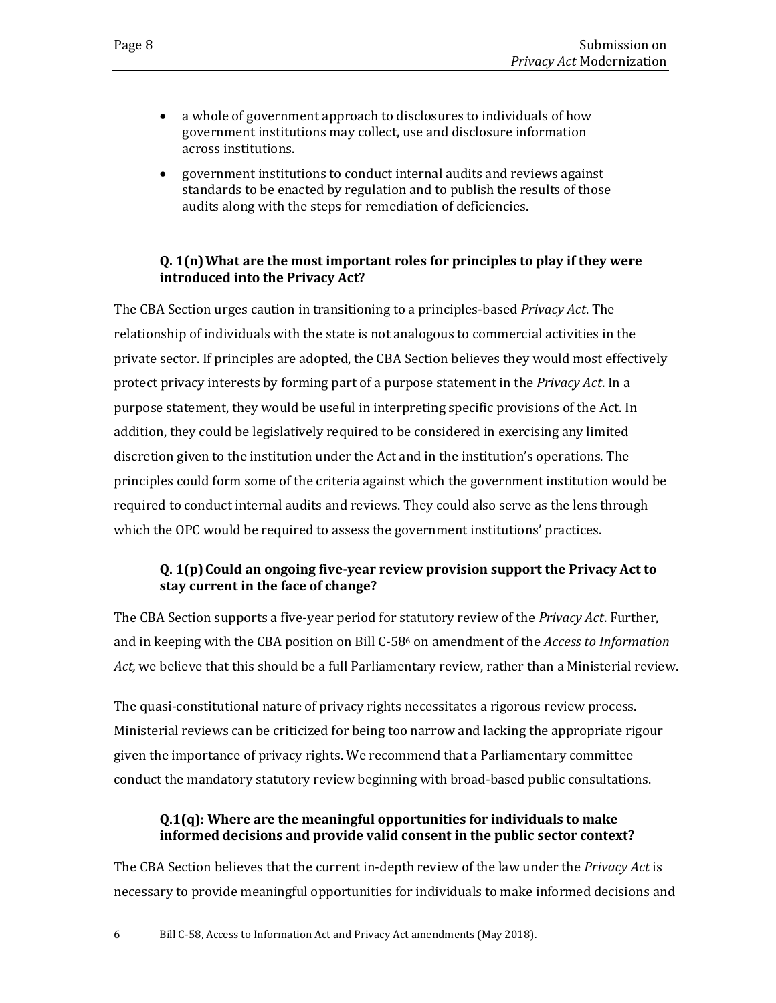- a whole of government approach to disclosures to individuals of how government institutions may collect, use and disclosure information across institutions.
- government institutions to conduct internal audits and reviews against standards to be enacted by regulation and to publish the results of those audits along with the steps for remediation of deficiencies.

#### **Q. 1(n)What are the most important roles for principles to play if they were introduced into the Privacy Act?**

The CBA Section urges caution in transitioning to a principles-based *Privacy Act*. The relationship of individuals with the state is not analogous to commercial activities in the private sector. If principles are adopted, the CBA Section believes they would most effectively protect privacy interests by forming part of a purpose statement in the *Privacy Act*. In a purpose statement, they would be useful in interpreting specific provisions of the Act. In addition, they could be legislatively required to be considered in exercising any limited discretion given to the institution under the Act and in the institution's operations. The principles could form some of the criteria against which the government institution would be required to conduct internal audits and reviews. They could also serve as the lens through which the OPC would be required to assess the government institutions' practices.

#### **Q. 1(p)Could an ongoing five-year review provision support the Privacy Act to stay current in the face of change?**

The CBA Section supports a five-year period for statutory review of the *Privacy Act*. Further, and in keeping with the CBA position on Bill C-58<sup>6</sup> on amendment of the *Access to Information Act,* we believe that this should be a full Parliamentary review, rather than a Ministerial review.

The quasi-constitutional nature of privacy rights necessitates a rigorous review process. Ministerial reviews can be criticized for being too narrow and lacking the appropriate rigour given the importance of privacy rights. We recommend that a Parliamentary committee conduct the mandatory statutory review beginning with broad-based public consultations.

#### **Q.1(q): Where are the meaningful opportunities for individuals to make informed decisions and provide valid consent in the public sector context?**

The CBA Section believes that the current in-depth review of the law under the *Privacy Act* is necessary to provide meaningful opportunities for individuals to make informed decisions and

<sup>6</sup> Bill C-58, Access to Information Act and Privacy Act amendments (May 2018).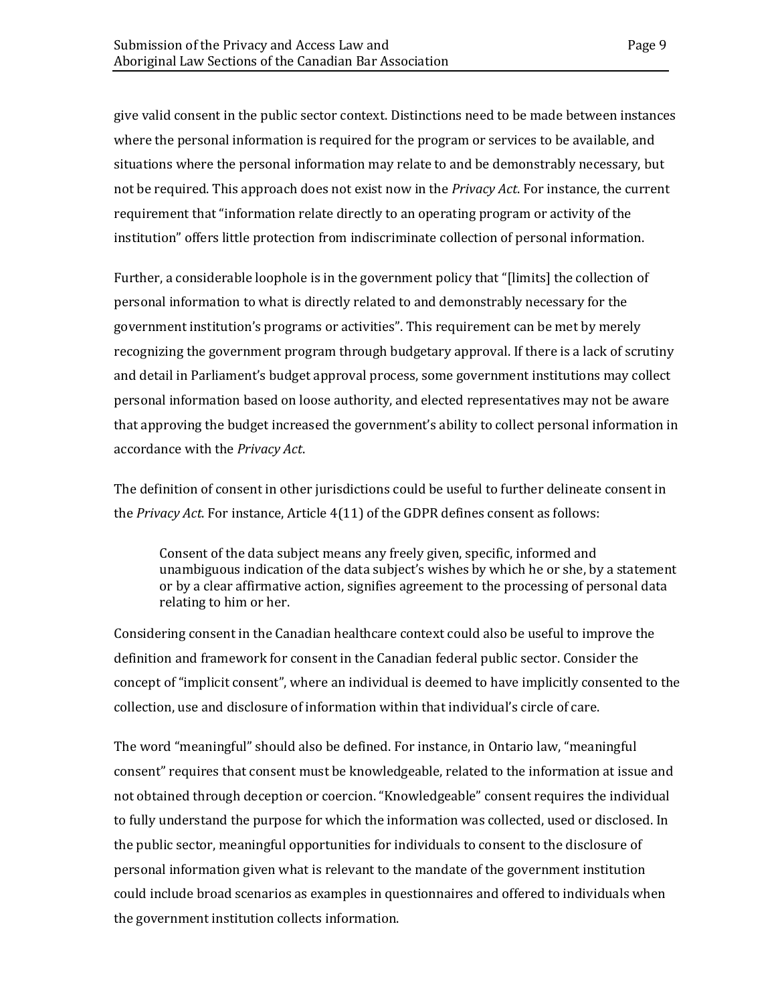give valid consent in the public sector context. Distinctions need to be made between instances where the personal information is required for the program or services to be available, and situations where the personal information may relate to and be demonstrably necessary, but not be required. This approach does not exist now in the *Privacy Act*. For instance, the current requirement that "information relate directly to an operating program or activity of the institution" offers little protection from indiscriminate collection of personal information.

Further, a considerable loophole is in the government policy that "[limits] the collection of personal information to what is directly related to and demonstrably necessary for the government institution's programs or activities". This requirement can be met by merely recognizing the government program through budgetary approval. If there is a lack of scrutiny and detail in Parliament's budget approval process, some government institutions may collect personal information based on loose authority, and elected representatives may not be aware that approving the budget increased the government's ability to collect personal information in accordance with the *Privacy Act*.

The definition of consent in other jurisdictions could be useful to further delineate consent in the *Privacy Act*. For instance, Article 4(11) of the GDPR defines consent as follows:

Consent of the data subject means any freely given, specific, informed and unambiguous indication of the data subject's wishes by which he or she, by a statement or by a clear affirmative action, signifies agreement to the processing of personal data relating to him or her.

Considering consent in the Canadian healthcare context could also be useful to improve the definition and framework for consent in the Canadian federal public sector. Consider the concept of "implicit consent", where an individual is deemed to have implicitly consented to the collection, use and disclosure of information within that individual's circle of care.

The word "meaningful" should also be defined. For instance, in Ontario law, "meaningful consent" requires that consent must be knowledgeable, related to the information at issue and not obtained through deception or coercion. "Knowledgeable" consent requires the individual to fully understand the purpose for which the information was collected, used or disclosed. In the public sector, meaningful opportunities for individuals to consent to the disclosure of personal information given what is relevant to the mandate of the government institution could include broad scenarios as examples in questionnaires and offered to individuals when the government institution collects information.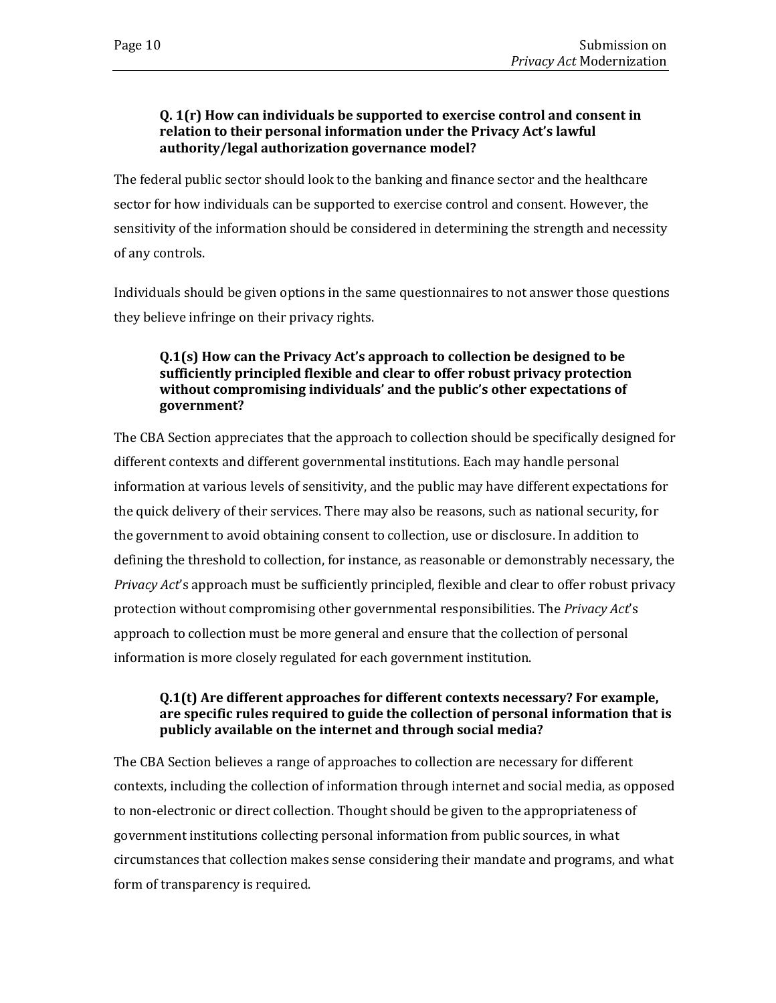#### **Q. 1(r) How can individuals be supported to exercise control and consent in relation to their personal information under the Privacy Act's lawful authority/legal authorization governance model?**

The federal public sector should look to the banking and finance sector and the healthcare sector for how individuals can be supported to exercise control and consent. However, the sensitivity of the information should be considered in determining the strength and necessity of any controls.

Individuals should be given options in the same questionnaires to not answer those questions they believe infringe on their privacy rights.

#### **Q.1(s) How can the Privacy Act's approach to collection be designed to be sufficiently principled flexible and clear to offer robust privacy protection without compromising individuals' and the public's other expectations of government?**

The CBA Section appreciates that the approach to collection should be specifically designed for different contexts and different governmental institutions. Each may handle personal information at various levels of sensitivity, and the public may have different expectations for the quick delivery of their services. There may also be reasons, such as national security, for the government to avoid obtaining consent to collection, use or disclosure. In addition to defining the threshold to collection, for instance, as reasonable or demonstrably necessary, the *Privacy Act*'s approach must be sufficiently principled, flexible and clear to offer robust privacy protection without compromising other governmental responsibilities. The *Privacy Act*'s approach to collection must be more general and ensure that the collection of personal information is more closely regulated for each government institution.

#### **Q.1(t) Are different approaches for different contexts necessary? For example, are specific rules required to guide the collection of personal information that is publicly available on the internet and through social media?**

The CBA Section believes a range of approaches to collection are necessary for different contexts, including the collection of information through internet and social media, as opposed to non-electronic or direct collection. Thought should be given to the appropriateness of government institutions collecting personal information from public sources, in what circumstances that collection makes sense considering their mandate and programs, and what form of transparency is required.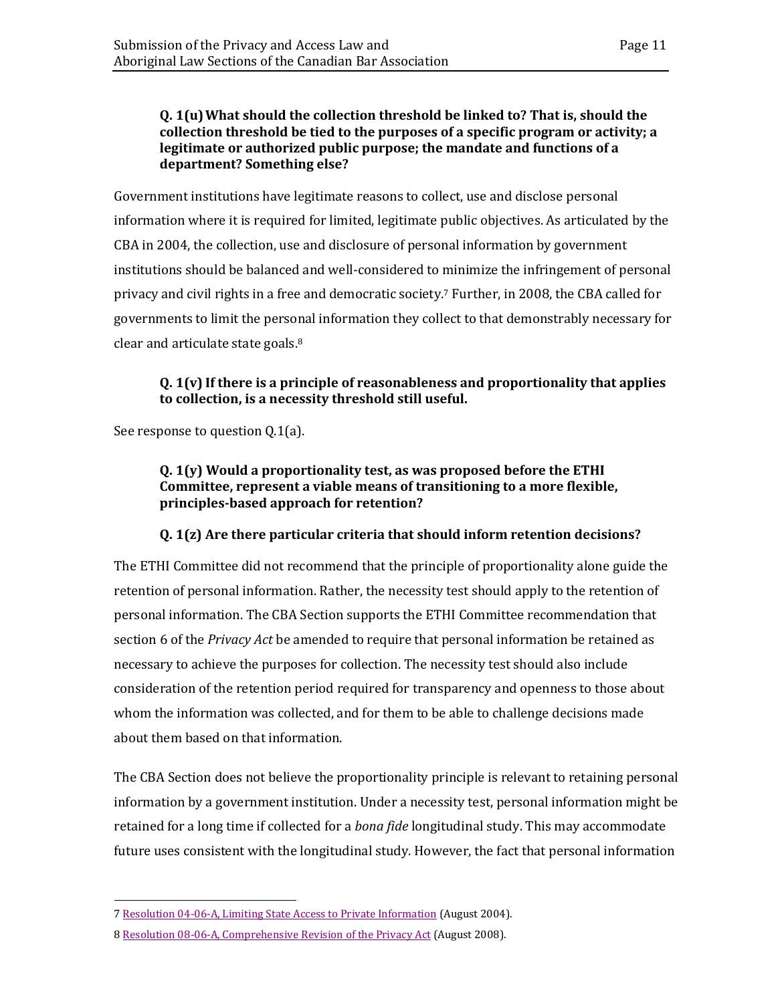#### **Q. 1(u)What should the collection threshold be linked to? That is, should the collection threshold be tied to the purposes of a specific program or activity; a legitimate or authorized public purpose; the mandate and functions of a department? Something else?**

Government institutions have legitimate reasons to collect, use and disclose personal information where it is required for limited, legitimate public objectives. As articulated by the CBA in 2004, the collection, use and disclosure of personal information by government institutions should be balanced and well-considered to minimize the infringement of personal privacy and civil rights in a free and democratic society.<sup>7</sup> Further, in 2008, the CBA called for governments to limit the personal information they collect to that demonstrably necessary for clear and articulate state goals. 8

#### **Q. 1(v) If there is a principle of reasonableness and proportionality that applies to collection, is a necessity threshold still useful.**

See response to question Q.1(a).

#### **Q. 1(y) Would a proportionality test, as was proposed before the ETHI Committee, represent a viable means of transitioning to a more flexible, principles-based approach for retention?**

#### **Q. 1(z) Are there particular criteria that should inform retention decisions?**

The ETHI Committee did not recommend that the principle of proportionality alone guide the retention of personal information. Rather, the necessity test should apply to the retention of personal information. The CBA Section supports the ETHI Committee recommendation that section 6 of the *Privacy Act* be amended to require that personal information be retained as necessary to achieve the purposes for collection. The necessity test should also include consideration of the retention period required for transparency and openness to those about whom the information was collected, and for them to be able to challenge decisions made about them based on that information.

The CBA Section does not believe the proportionality principle is relevant to retaining personal information by a government institution. Under a necessity test, personal information might be retained for a long time if collected for a *bona fide* longitudinal study. This may accommodate future uses consistent with the longitudinal study. However, the fact that personal information

<sup>7</sup> [Resolution 04-06-A, Limiting State Access to Private Information](https://www.cba.org/Our-Work/Resolutions/Resolutions/2004/Limiter-l%E2%80%99acces-de-l%E2%80%99Etat-aux-renseignements-perso) (August 2004).

<sup>8</sup> [Resolution 08-06-A, Comprehensive Revision of the Privacy Act](https://www.cba.org/Our-Work/Resolutions/Resolutions/2008/Comprehensive-Renewal-of-em-Privacy-Act-em) (August 2008).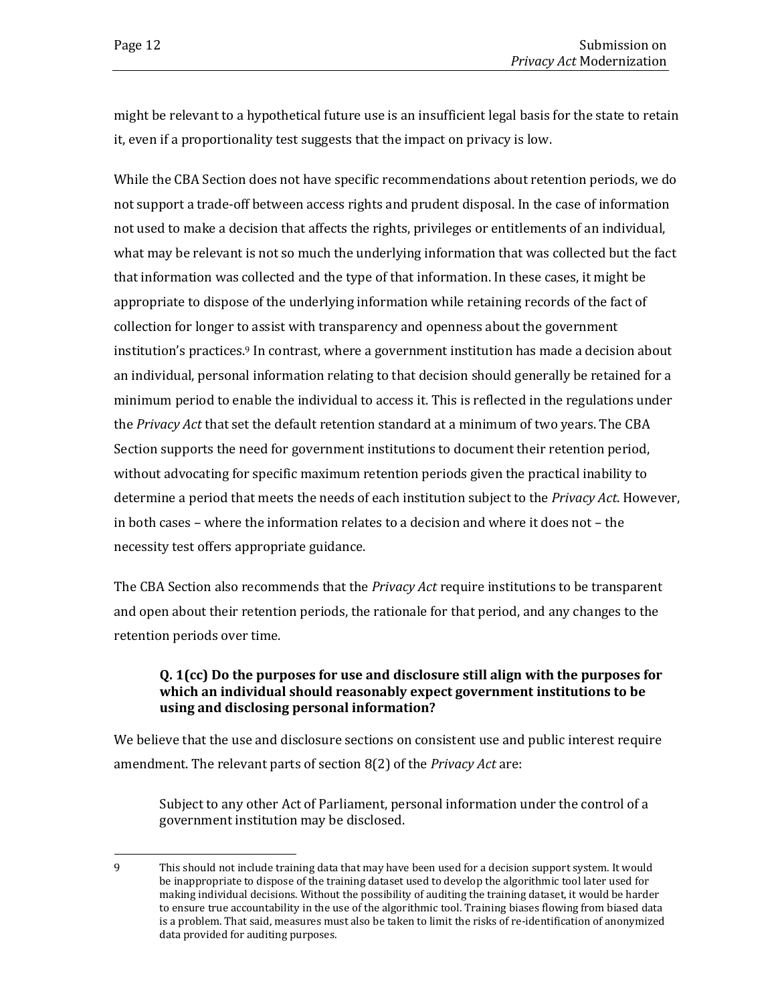might be relevant to a hypothetical future use is an insufficient legal basis for the state to retain it, even if a proportionality test suggests that the impact on privacy is low.

While the CBA Section does not have specific recommendations about retention periods, we do not support a trade-off between access rights and prudent disposal. In the case of information not used to make a decision that affects the rights, privileges or entitlements of an individual, what may be relevant is not so much the underlying information that was collected but the fact that information was collected and the type of that information. In these cases, it might be appropriate to dispose of the underlying information while retaining records of the fact of collection for longer to assist with transparency and openness about the government institution's practices.<sup>9</sup> In contrast, where a government institution has made a decision about an individual, personal information relating to that decision should generally be retained for a minimum period to enable the individual to access it. This is reflected in the regulations under the *Privacy Act* that set the default retention standard at a minimum of two years. The CBA Section supports the need for government institutions to document their retention period, without advocating for specific maximum retention periods given the practical inability to determine a period that meets the needs of each institution subject to the *Privacy Act*. However, in both cases – where the information relates to a decision and where it does not – the necessity test offers appropriate guidance.

The CBA Section also recommends that the *Privacy Act* require institutions to be transparent and open about their retention periods, the rationale for that period, and any changes to the retention periods over time.

#### **Q. 1(cc) Do the purposes for use and disclosure still align with the purposes for which an individual should reasonably expect government institutions to be using and disclosing personal information?**

We believe that the use and disclosure sections on consistent use and public interest require amendment. The relevant parts of section 8(2) of the *Privacy Act* are:

Subject to any other Act of Parliament, personal information under the control of a government institution may be disclosed.

<sup>9</sup> This should not include training data that may have been used for a decision support system. It would be inappropriate to dispose of the training dataset used to develop the algorithmic tool later used for making individual decisions. Without the possibility of auditing the training dataset, it would be harder to ensure true accountability in the use of the algorithmic tool. Training biases flowing from biased data is a problem. That said, measures must also be taken to limit the risks of re-identification of anonymized data provided for auditing purposes.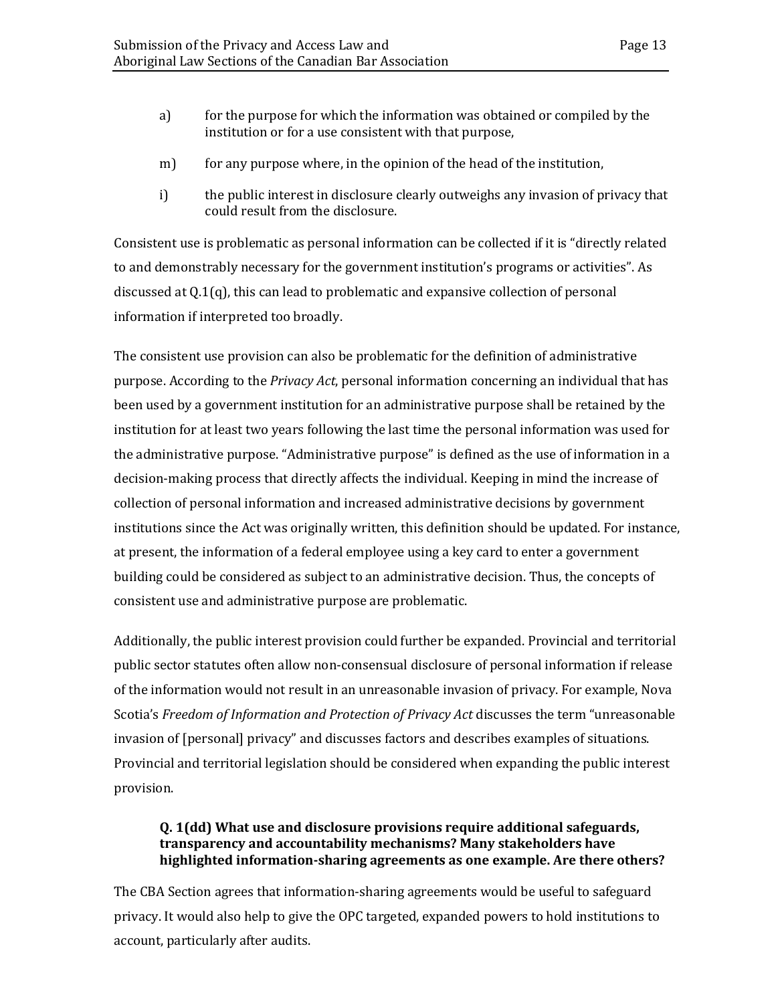- a) for the purpose for which the information was obtained or compiled by the institution or for a use consistent with that purpose,
- m) for any purpose where, in the opinion of the head of the institution,
- i) the public interest in disclosure clearly outweighs any invasion of privacy that could result from the disclosure.

Consistent use is problematic as personal information can be collected if it is "directly related to and demonstrably necessary for the government institution's programs or activities". As discussed at Q.1(q), this can lead to problematic and expansive collection of personal information if interpreted too broadly.

The consistent use provision can also be problematic for the definition of administrative purpose. According to the *Privacy Act*, personal information concerning an individual that has been used by a government institution for an administrative purpose shall be retained by the institution for at least two years following the last time the personal information was used for the administrative purpose. "Administrative purpose" is defined as the use of information in a decision-making process that directly affects the individual. Keeping in mind the increase of collection of personal information and increased administrative decisions by government institutions since the Act was originally written, this definition should be updated. For instance, at present, the information of a federal employee using a key card to enter a government building could be considered as subject to an administrative decision. Thus, the concepts of consistent use and administrative purpose are problematic.

Additionally, the public interest provision could further be expanded. Provincial and territorial public sector statutes often allow non-consensual disclosure of personal information if release of the information would not result in an unreasonable invasion of privacy. For example, Nova Scotia's *Freedom of Information and Protection of Privacy Act* discusses the term "unreasonable invasion of [personal] privacy" and discusses factors and describes examples of situations. Provincial and territorial legislation should be considered when expanding the public interest provision.

#### **Q. 1(dd) What use and disclosure provisions require additional safeguards, transparency and accountability mechanisms? Many stakeholders have highlighted information-sharing agreements as one example. Are there others?**

The CBA Section agrees that information-sharing agreements would be useful to safeguard privacy. It would also help to give the OPC targeted, expanded powers to hold institutions to account, particularly after audits.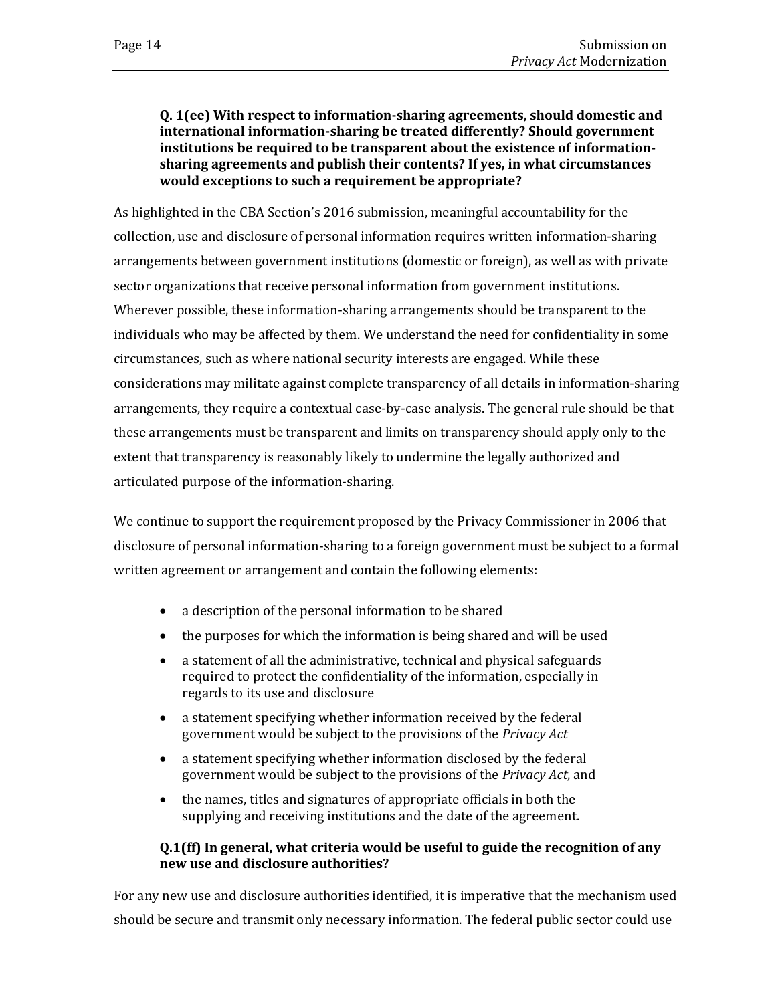#### **Q. 1(ee) With respect to information-sharing agreements, should domestic and international information-sharing be treated differently? Should government institutions be required to be transparent about the existence of informationsharing agreements and publish their contents? If yes, in what circumstances would exceptions to such a requirement be appropriate?**

As highlighted in the CBA Section's 2016 submission, meaningful accountability for the collection, use and disclosure of personal information requires written information-sharing arrangements between government institutions (domestic or foreign), as well as with private sector organizations that receive personal information from government institutions. Wherever possible, these information-sharing arrangements should be transparent to the individuals who may be affected by them. We understand the need for confidentiality in some circumstances, such as where national security interests are engaged. While these considerations may militate against complete transparency of all details in information-sharing arrangements, they require a contextual case-by-case analysis. The general rule should be that these arrangements must be transparent and limits on transparency should apply only to the extent that transparency is reasonably likely to undermine the legally authorized and articulated purpose of the information-sharing.

We continue to support the requirement proposed by the Privacy Commissioner in 2006 that disclosure of personal information-sharing to a foreign government must be subject to a formal written agreement or arrangement and contain the following elements:

- a description of the personal information to be shared
- the purposes for which the information is being shared and will be used
- a statement of all the administrative, technical and physical safeguards required to protect the confidentiality of the information, especially in regards to its use and disclosure
- a statement specifying whether information received by the federal government would be subject to the provisions of the *Privacy Act*
- a statement specifying whether information disclosed by the federal government would be subject to the provisions of the *Privacy Act*, and
- the names, titles and signatures of appropriate officials in both the supplying and receiving institutions and the date of the agreement.

#### **Q.1(ff) In general, what criteria would be useful to guide the recognition of any new use and disclosure authorities?**

For any new use and disclosure authorities identified, it is imperative that the mechanism used should be secure and transmit only necessary information. The federal public sector could use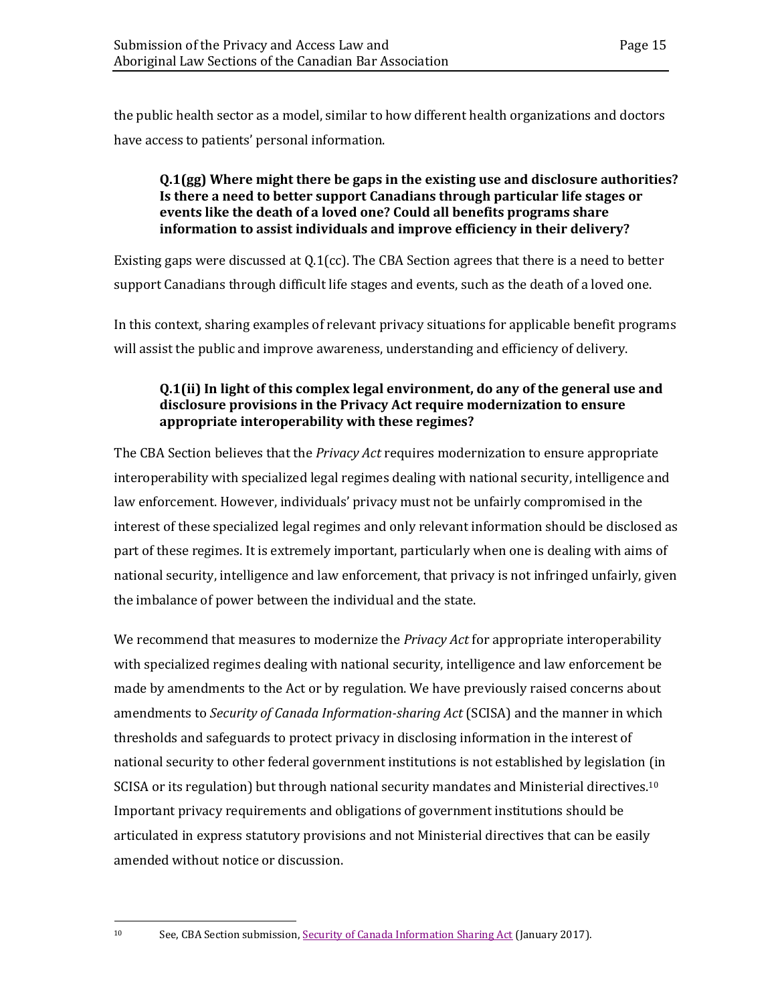the public health sector as a model, similar to how different health organizations and doctors have access to patients' personal information.

#### **Q.1(gg) Where might there be gaps in the existing use and disclosure authorities? Is there a need to better support Canadians through particular life stages or events like the death of a loved one? Could all benefits programs share information to assist individuals and improve efficiency in their delivery?**

Existing gaps were discussed at  $Q.1$  (cc). The CBA Section agrees that there is a need to better support Canadians through difficult life stages and events, such as the death of a loved one.

In this context, sharing examples of relevant privacy situations for applicable benefit programs will assist the public and improve awareness, understanding and efficiency of delivery.

#### **Q.1(ii) In light of this complex legal environment, do any of the general use and disclosure provisions in the Privacy Act require modernization to ensure appropriate interoperability with these regimes?**

The CBA Section believes that the *Privacy Act* requires modernization to ensure appropriate interoperability with specialized legal regimes dealing with national security, intelligence and law enforcement. However, individuals' privacy must not be unfairly compromised in the interest of these specialized legal regimes and only relevant information should be disclosed as part of these regimes. It is extremely important, particularly when one is dealing with aims of national security, intelligence and law enforcement, that privacy is not infringed unfairly, given the imbalance of power between the individual and the state.

We recommend that measures to modernize the *Privacy Act* for appropriate interoperability with specialized regimes dealing with national security, intelligence and law enforcement be made by amendments to the Act or by regulation. We have previously raised concerns about amendments to *Security of Canada Information-sharing Act* (SCISA) and the manner in which thresholds and safeguards to protect privacy in disclosing information in the interest of national security to other federal government institutions is not established by legislation (in SCISA or its regulation) but through national security mandates and Ministerial directives.<sup>10</sup> Important privacy requirements and obligations of government institutions should be articulated in express statutory provisions and not Ministerial directives that can be easily amended without notice or discussion.

<sup>10</sup> See, CBA Section submission, [Security of Canada Information Sharing Act](https://www.cba.org/Our-Work/Submissions-(1)/Submissions/2017/January/security) (January 2017).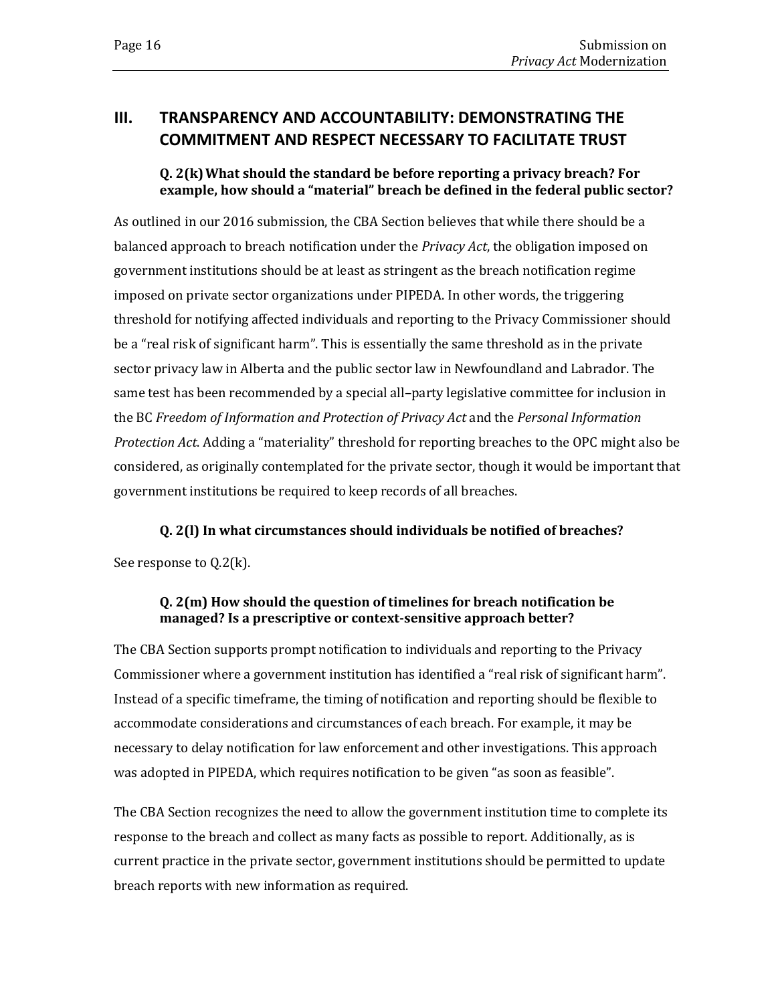## <span id="page-19-0"></span>**III. TRANSPARENCY AND ACCOUNTABILITY: DEMONSTRATING THE COMMITMENT AND RESPECT NECESSARY TO FACILITATE TRUST**

#### **Q. 2(k)What should the standard be before reporting a privacy breach? For example, how should a "material" breach be defined in the federal public sector?**

As outlined in our 2016 submission, the CBA Section believes that while there should be a balanced approach to breach notification under the *Privacy Act*, the obligation imposed on government institutions should be at least as stringent as the breach notification regime imposed on private sector organizations under PIPEDA. In other words, the triggering threshold for notifying affected individuals and reporting to the Privacy Commissioner should be a "real risk of significant harm". This is essentially the same threshold as in the private sector privacy law in Alberta and the public sector law in Newfoundland and Labrador. The same test has been recommended by a special all–party legislative committee for inclusion in the BC *Freedom of Information and Protection of Privacy Act* and the *Personal Information Protection Act*. Adding a "materiality" threshold for reporting breaches to the OPC might also be considered, as originally contemplated for the private sector, though it would be important that government institutions be required to keep records of all breaches.

**Q. 2(l) In what circumstances should individuals be notified of breaches?**

See response to Q.2(k).

#### **Q. 2(m) How should the question of timelines for breach notification be managed? Is a prescriptive or context-sensitive approach better?**

The CBA Section supports prompt notification to individuals and reporting to the Privacy Commissioner where a government institution has identified a "real risk of significant harm". Instead of a specific timeframe, the timing of notification and reporting should be flexible to accommodate considerations and circumstances of each breach. For example, it may be necessary to delay notification for law enforcement and other investigations. This approach was adopted in PIPEDA, which requires notification to be given "as soon as feasible".

The CBA Section recognizes the need to allow the government institution time to complete its response to the breach and collect as many facts as possible to report. Additionally, as is current practice in the private sector, government institutions should be permitted to update breach reports with new information as required.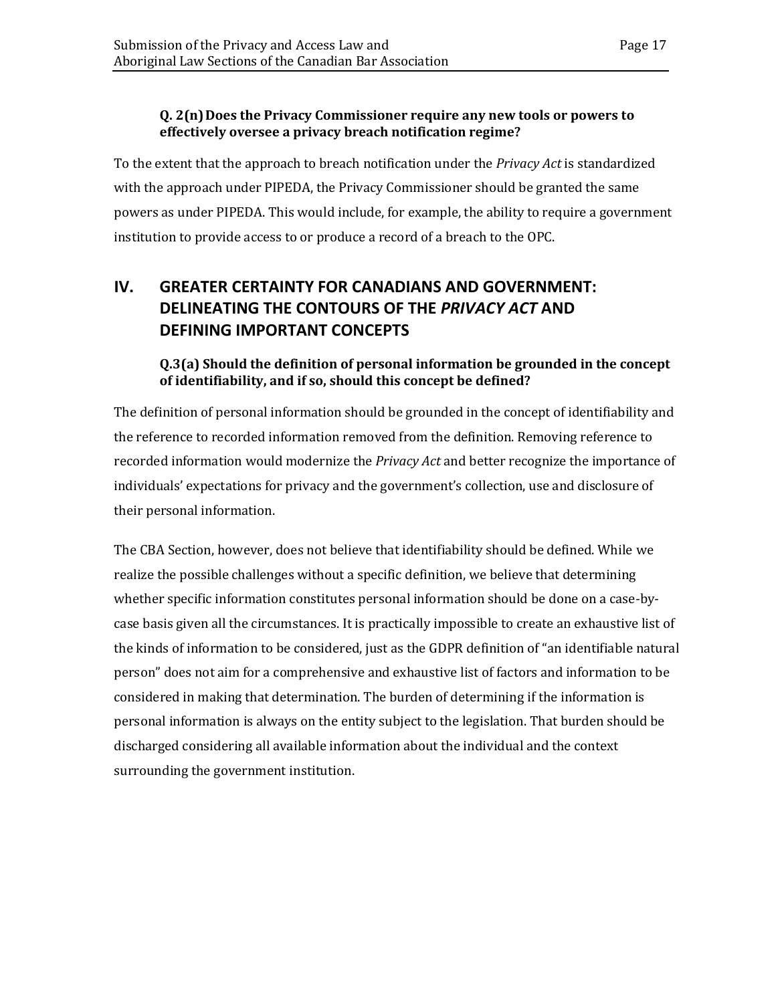#### **Q. 2(n)Does the Privacy Commissioner require any new tools or powers to effectively oversee a privacy breach notification regime?**

To the extent that the approach to breach notification under the *Privacy Act* is standardized with the approach under PIPEDA, the Privacy Commissioner should be granted the same powers as under PIPEDA. This would include, for example, the ability to require a government institution to provide access to or produce a record of a breach to the OPC.

## <span id="page-20-0"></span>**IV. GREATER CERTAINTY FOR CANADIANS AND GOVERNMENT: DELINEATING THE CONTOURS OF THE** *PRIVACY ACT* **AND DEFINING IMPORTANT CONCEPTS**

#### **Q.3(a) Should the definition of personal information be grounded in the concept of identifiability, and if so, should this concept be defined?**

The definition of personal information should be grounded in the concept of identifiability and the reference to recorded information removed from the definition. Removing reference to recorded information would modernize the *Privacy Act* and better recognize the importance of individuals' expectations for privacy and the government's collection, use and disclosure of their personal information.

The CBA Section, however, does not believe that identifiability should be defined. While we realize the possible challenges without a specific definition, we believe that determining whether specific information constitutes personal information should be done on a case-bycase basis given all the circumstances. It is practically impossible to create an exhaustive list of the kinds of information to be considered, just as the GDPR definition of "an identifiable natural person" does not aim for a comprehensive and exhaustive list of factors and information to be considered in making that determination. The burden of determining if the information is personal information is always on the entity subject to the legislation. That burden should be discharged considering all available information about the individual and the context surrounding the government institution.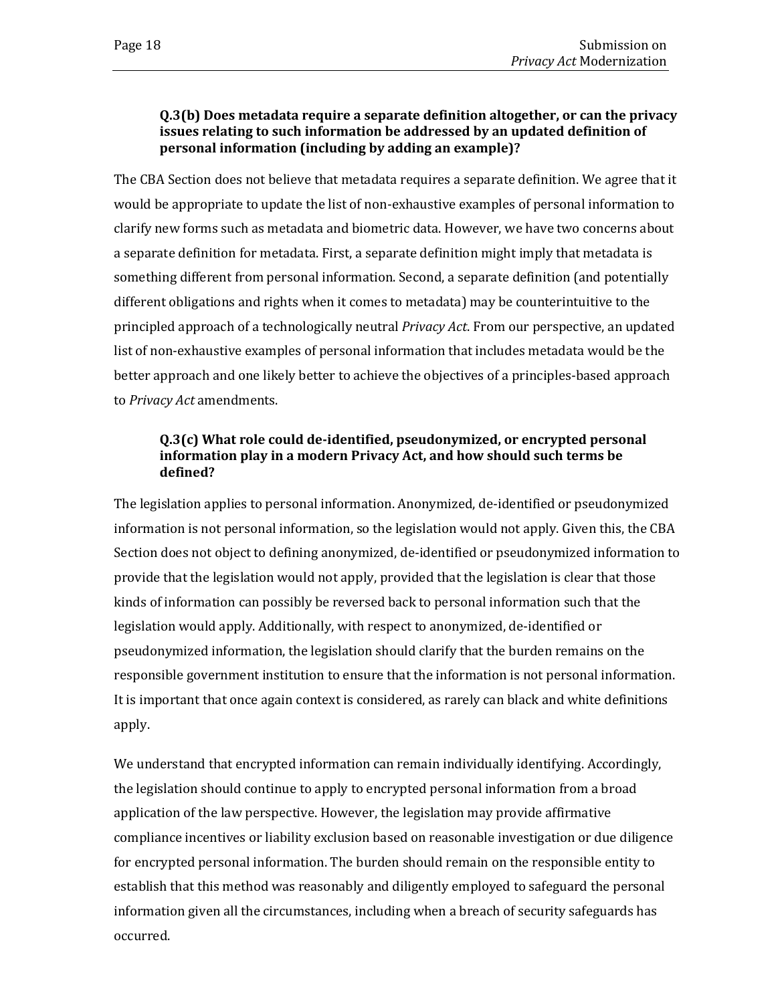#### **Q.3(b) Does metadata require a separate definition altogether, or can the privacy issues relating to such information be addressed by an updated definition of personal information (including by adding an example)?**

The CBA Section does not believe that metadata requires a separate definition. We agree that it would be appropriate to update the list of non-exhaustive examples of personal information to clarify new forms such as metadata and biometric data. However, we have two concerns about a separate definition for metadata. First, a separate definition might imply that metadata is something different from personal information. Second, a separate definition (and potentially different obligations and rights when it comes to metadata) may be counterintuitive to the principled approach of a technologically neutral *Privacy Act*. From our perspective, an updated list of non-exhaustive examples of personal information that includes metadata would be the better approach and one likely better to achieve the objectives of a principles-based approach to *Privacy Act* amendments.

#### **Q.3(c) What role could de-identified, pseudonymized, or encrypted personal information play in a modern Privacy Act, and how should such terms be defined?**

The legislation applies to personal information. Anonymized, de-identified or pseudonymized information is not personal information, so the legislation would not apply. Given this, the CBA Section does not object to defining anonymized, de-identified or pseudonymized information to provide that the legislation would not apply, provided that the legislation is clear that those kinds of information can possibly be reversed back to personal information such that the legislation would apply. Additionally, with respect to anonymized, de-identified or pseudonymized information, the legislation should clarify that the burden remains on the responsible government institution to ensure that the information is not personal information. It is important that once again context is considered, as rarely can black and white definitions apply.

We understand that encrypted information can remain individually identifying. Accordingly, the legislation should continue to apply to encrypted personal information from a broad application of the law perspective. However, the legislation may provide affirmative compliance incentives or liability exclusion based on reasonable investigation or due diligence for encrypted personal information. The burden should remain on the responsible entity to establish that this method was reasonably and diligently employed to safeguard the personal information given all the circumstances, including when a breach of security safeguards has occurred.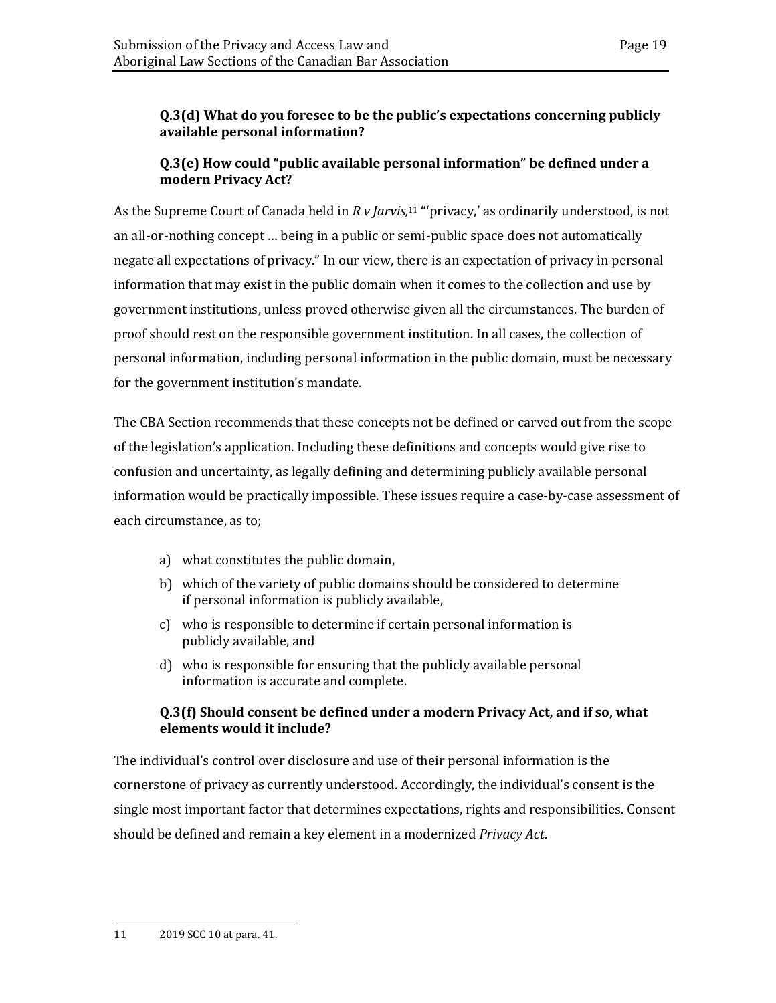#### **Q.3(d) What do you foresee to be the public's expectations concerning publicly available personal information?**

#### **Q.3(e) How could "public available personal information" be defined under a modern Privacy Act?**

As the Supreme Court of Canada held in *R v Jarvis,* <sup>11</sup> "'privacy,' as ordinarily understood, is not an all-or-nothing concept … being in a public or semi-public space does not automatically negate all expectations of privacy." In our view, there is an expectation of privacy in personal information that may exist in the public domain when it comes to the collection and use by government institutions, unless proved otherwise given all the circumstances. The burden of proof should rest on the responsible government institution. In all cases, the collection of personal information, including personal information in the public domain, must be necessary for the government institution's mandate.

The CBA Section recommends that these concepts not be defined or carved out from the scope of the legislation's application. Including these definitions and concepts would give rise to confusion and uncertainty, as legally defining and determining publicly available personal information would be practically impossible. These issues require a case-by-case assessment of each circumstance, as to;

- a) what constitutes the public domain,
- b) which of the variety of public domains should be considered to determine if personal information is publicly available,
- c) who is responsible to determine if certain personal information is publicly available, and
- d) who is responsible for ensuring that the publicly available personal information is accurate and complete.

#### **Q.3(f) Should consent be defined under a modern Privacy Act, and if so, what elements would it include?**

The individual's control over disclosure and use of their personal information is the cornerstone of privacy as currently understood. Accordingly, the individual's consent is the single most important factor that determines expectations, rights and responsibilities. Consent should be defined and remain a key element in a modernized *Privacy Act*.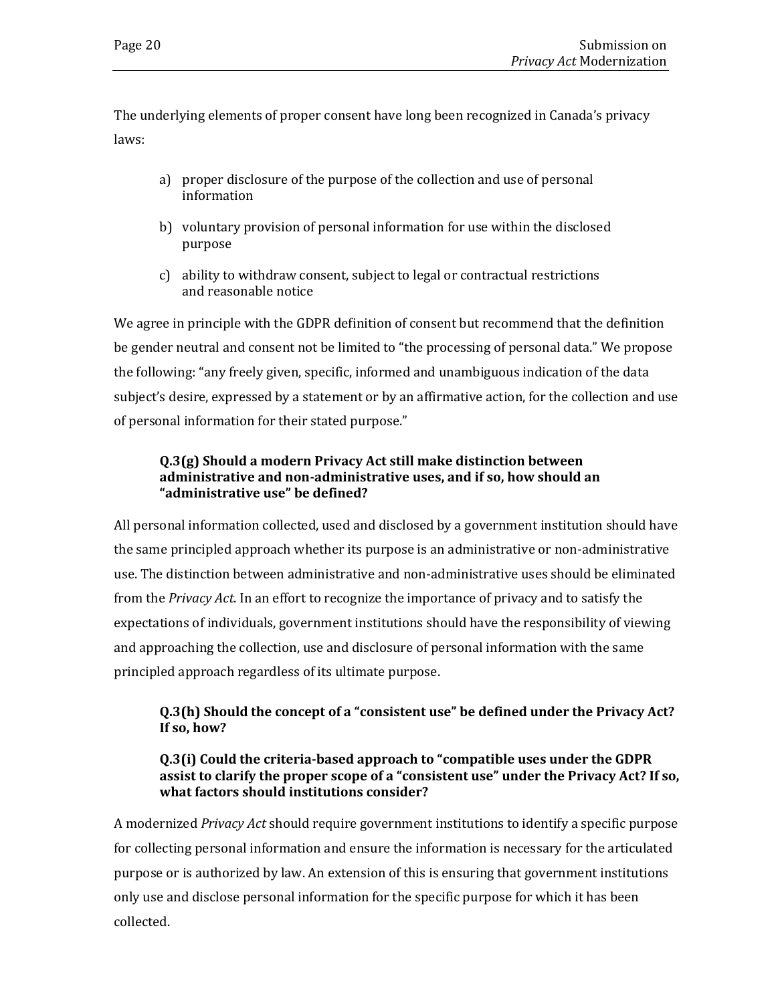The underlying elements of proper consent have long been recognized in Canada's privacy laws:

- a) proper disclosure of the purpose of the collection and use of personal information
- b) voluntary provision of personal information for use within the disclosed purpose
- c) ability to withdraw consent, subject to legal or contractual restrictions and reasonable notice

We agree in principle with the GDPR definition of consent but recommend that the definition be gender neutral and consent not be limited to "the processing of personal data." We propose the following: "any freely given, specific, informed and unambiguous indication of the data subject's desire, expressed by a statement or by an affirmative action, for the collection and use of personal information for their stated purpose."

#### **Q.3(g) Should a modern Privacy Act still make distinction between administrative and non-administrative uses, and if so, how should an "administrative use" be defined?**

All personal information collected, used and disclosed by a government institution should have the same principled approach whether its purpose is an administrative or non-administrative use. The distinction between administrative and non-administrative uses should be eliminated from the *Privacy Act*. In an effort to recognize the importance of privacy and to satisfy the expectations of individuals, government institutions should have the responsibility of viewing and approaching the collection, use and disclosure of personal information with the same principled approach regardless of its ultimate purpose.

#### **Q.3(h) Should the concept of a "consistent use" be defined under the Privacy Act? If so, how?**

#### **Q.3(i) Could the criteria-based approach to "compatible uses under the GDPR assist to clarify the proper scope of a "consistent use" under the Privacy Act? If so, what factors should institutions consider?**

A modernized *Privacy Act* should require government institutions to identify a specific purpose for collecting personal information and ensure the information is necessary for the articulated purpose or is authorized by law. An extension of this is ensuring that government institutions only use and disclose personal information for the specific purpose for which it has been collected.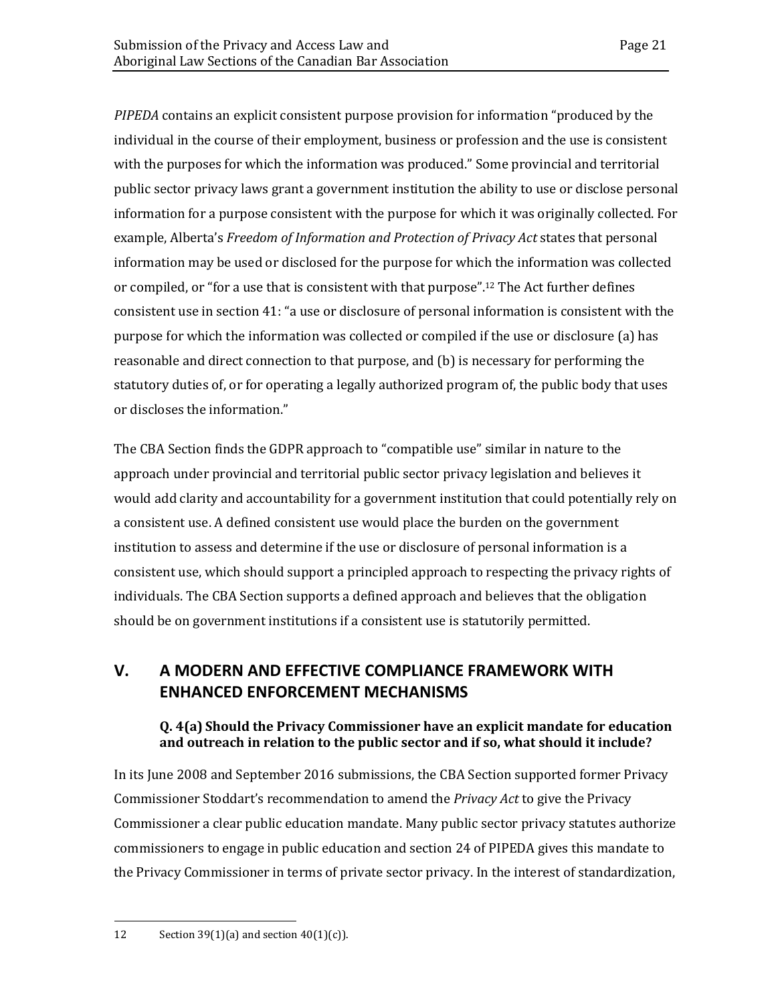*PIPEDA* contains an explicit consistent purpose provision for information "produced by the individual in the course of their employment, business or profession and the use is consistent with the purposes for which the information was produced." Some provincial and territorial public sector privacy laws grant a government institution the ability to use or disclose personal information for a purpose consistent with the purpose for which it was originally collected. For example, Alberta's *Freedom of Information and Protection of Privacy Act* states that personal information may be used or disclosed for the purpose for which the information was collected or compiled, or "for a use that is consistent with that purpose". <sup>12</sup> The Act further defines consistent use in section 41: "a use or disclosure of personal information is consistent with the purpose for which the information was collected or compiled if the use or disclosure (a) has reasonable and direct connection to that purpose, and (b) is necessary for performing the statutory duties of, or for operating a legally authorized program of, the public body that uses or discloses the information."

The CBA Section finds the GDPR approach to "compatible use" similar in nature to the approach under provincial and territorial public sector privacy legislation and believes it would add clarity and accountability for a government institution that could potentially rely on a consistent use. A defined consistent use would place the burden on the government institution to assess and determine if the use or disclosure of personal information is a consistent use, which should support a principled approach to respecting the privacy rights of individuals. The CBA Section supports a defined approach and believes that the obligation should be on government institutions if a consistent use is statutorily permitted.

## <span id="page-24-0"></span>**V. A MODERN AND EFFECTIVE COMPLIANCE FRAMEWORK WITH ENHANCED ENFORCEMENT MECHANISMS**

#### **Q. 4(a) Should the Privacy Commissioner have an explicit mandate for education and outreach in relation to the public sector and if so, what should it include?**

In its June 2008 and September 2016 submissions, the CBA Section supported former Privacy Commissioner Stoddart's recommendation to amend the *Privacy Act* to give the Privacy Commissioner a clear public education mandate. Many public sector privacy statutes authorize commissioners to engage in public education and section 24 of PIPEDA gives this mandate to the Privacy Commissioner in terms of private sector privacy. In the interest of standardization,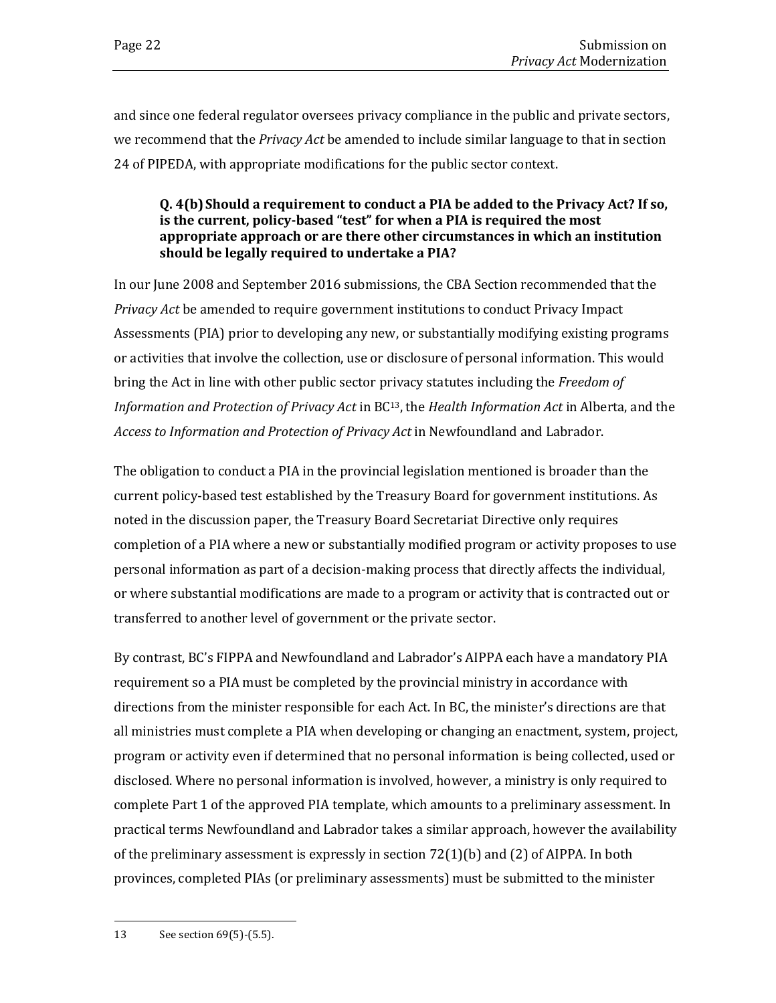and since one federal regulator oversees privacy compliance in the public and private sectors, we recommend that the *Privacy Act* be amended to include similar language to that in section 24 of PIPEDA, with appropriate modifications for the public sector context.

#### **Q. 4(b)Should a requirement to conduct a PIA be added to the Privacy Act? If so, is the current, policy-based "test" for when a PIA is required the most appropriate approach or are there other circumstances in which an institution should be legally required to undertake a PIA?**

In our June 2008 and September 2016 submissions, the CBA Section recommended that the *Privacy Act* be amended to require government institutions to conduct Privacy Impact Assessments (PIA) prior to developing any new, or substantially modifying existing programs or activities that involve the collection, use or disclosure of personal information. This would bring the Act in line with other public sector privacy statutes including the *Freedom of Information and Protection of Privacy Act* in BC13, the *Health Information Act* in Alberta, and the *Access to Information and Protection of Privacy Act* in Newfoundland and Labrador.

The obligation to conduct a PIA in the provincial legislation mentioned is broader than the current policy-based test established by the Treasury Board for government institutions. As noted in the discussion paper, the Treasury Board Secretariat Directive only requires completion of a PIA where a new or substantially modified program or activity proposes to use personal information as part of a decision-making process that directly affects the individual, or where substantial modifications are made to a program or activity that is contracted out or transferred to another level of government or the private sector.

By contrast, BC's FIPPA and Newfoundland and Labrador's AIPPA each have a mandatory PIA requirement so a PIA must be completed by the provincial ministry in accordance with directions from the minister responsible for each Act. In BC, the minister's directions are that all ministries must complete a PIA when developing or changing an enactment, system, project, program or activity even if determined that no personal information is being collected, used or disclosed. Where no personal information is involved, however, a ministry is only required to complete Part 1 of the approved PIA template, which amounts to a preliminary assessment. In practical terms Newfoundland and Labrador takes a similar approach, however the availability of the preliminary assessment is expressly in section  $72(1)(b)$  and  $(2)$  of AIPPA. In both provinces, completed PIAs (or preliminary assessments) must be submitted to the minister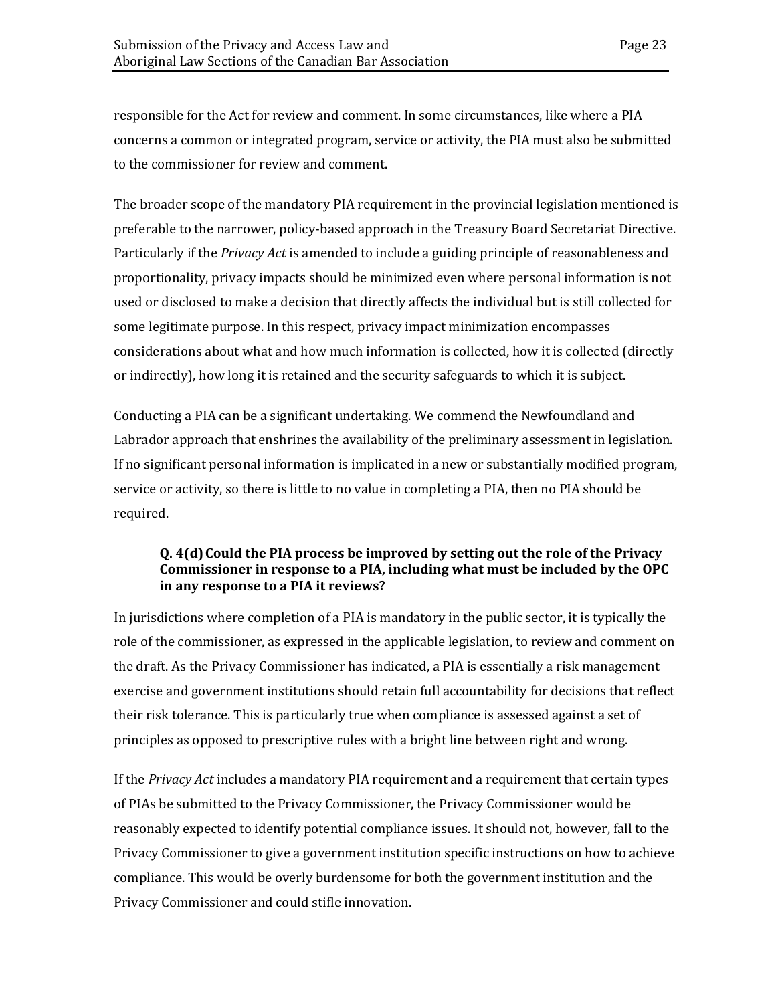responsible for the Act for review and comment. In some circumstances, like where a PIA concerns a common or integrated program, service or activity, the PIA must also be submitted to the commissioner for review and comment.

The broader scope of the mandatory PIA requirement in the provincial legislation mentioned is preferable to the narrower, policy-based approach in the Treasury Board Secretariat Directive. Particularly if the *Privacy Act* is amended to include a guiding principle of reasonableness and proportionality, privacy impacts should be minimized even where personal information is not used or disclosed to make a decision that directly affects the individual but is still collected for some legitimate purpose. In this respect, privacy impact minimization encompasses considerations about what and how much information is collected, how it is collected (directly or indirectly), how long it is retained and the security safeguards to which it is subject.

Conducting a PIA can be a significant undertaking. We commend the Newfoundland and Labrador approach that enshrines the availability of the preliminary assessment in legislation. If no significant personal information is implicated in a new or substantially modified program, service or activity, so there is little to no value in completing a PIA, then no PIA should be required.

#### **Q.** 4(d) Could the PIA process be improved by setting out the role of the Privacy **Commissioner in response to a PIA, including what must be included by the OPC in any response to a PIA it reviews?**

In jurisdictions where completion of a PIA is mandatory in the public sector, it is typically the role of the commissioner, as expressed in the applicable legislation, to review and comment on the draft. As the Privacy Commissioner has indicated, a PIA is essentially a risk management exercise and government institutions should retain full accountability for decisions that reflect their risk tolerance. This is particularly true when compliance is assessed against a set of principles as opposed to prescriptive rules with a bright line between right and wrong.

If the *Privacy Act* includes a mandatory PIA requirement and a requirement that certain types of PIAs be submitted to the Privacy Commissioner, the Privacy Commissioner would be reasonably expected to identify potential compliance issues. It should not, however, fall to the Privacy Commissioner to give a government institution specific instructions on how to achieve compliance. This would be overly burdensome for both the government institution and the Privacy Commissioner and could stifle innovation.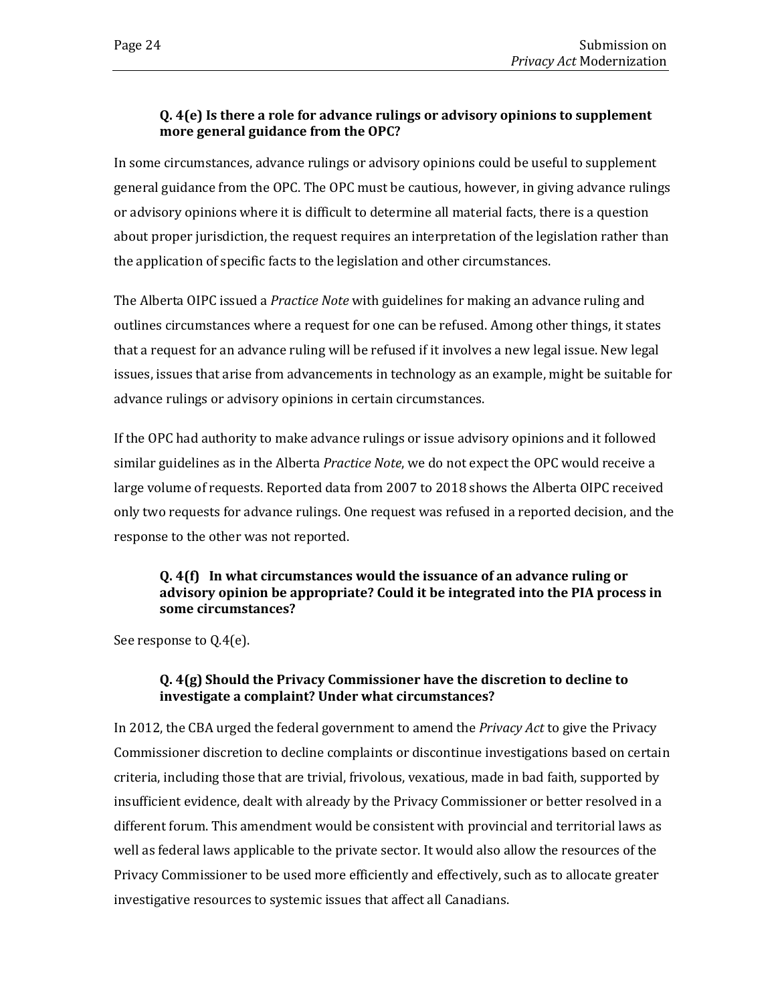#### **Q. 4(e) Is there a role for advance rulings or advisory opinions to supplement more general guidance from the OPC?**

In some circumstances, advance rulings or advisory opinions could be useful to supplement general guidance from the OPC. The OPC must be cautious, however, in giving advance rulings or advisory opinions where it is difficult to determine all material facts, there is a question about proper jurisdiction, the request requires an interpretation of the legislation rather than the application of specific facts to the legislation and other circumstances.

The Alberta OIPC issued a *Practice Note* with guidelines for making an advance ruling and outlines circumstances where a request for one can be refused. Among other things, it states that a request for an advance ruling will be refused if it involves a new legal issue. New legal issues, issues that arise from advancements in technology as an example, might be suitable for advance rulings or advisory opinions in certain circumstances.

If the OPC had authority to make advance rulings or issue advisory opinions and it followed similar guidelines as in the Alberta *Practice Note*, we do not expect the OPC would receive a large volume of requests. Reported data from 2007 to 2018 shows the Alberta OIPC received only two requests for advance rulings. One request was refused in a reported decision, and the response to the other was not reported.

#### **Q. 4(f) In what circumstances would the issuance of an advance ruling or advisory opinion be appropriate? Could it be integrated into the PIA process in some circumstances?**

See response to Q.4(e).

#### **Q. 4(g) Should the Privacy Commissioner have the discretion to decline to investigate a complaint? Under what circumstances?**

In 2012, the CBA urged the federal government to amend the *Privacy Act* to give the Privacy Commissioner discretion to decline complaints or discontinue investigations based on certain criteria, including those that are trivial, frivolous, vexatious, made in bad faith, supported by insufficient evidence, dealt with already by the Privacy Commissioner or better resolved in a different forum. This amendment would be consistent with provincial and territorial laws as well as federal laws applicable to the private sector. It would also allow the resources of the Privacy Commissioner to be used more efficiently and effectively, such as to allocate greater investigative resources to systemic issues that affect all Canadians.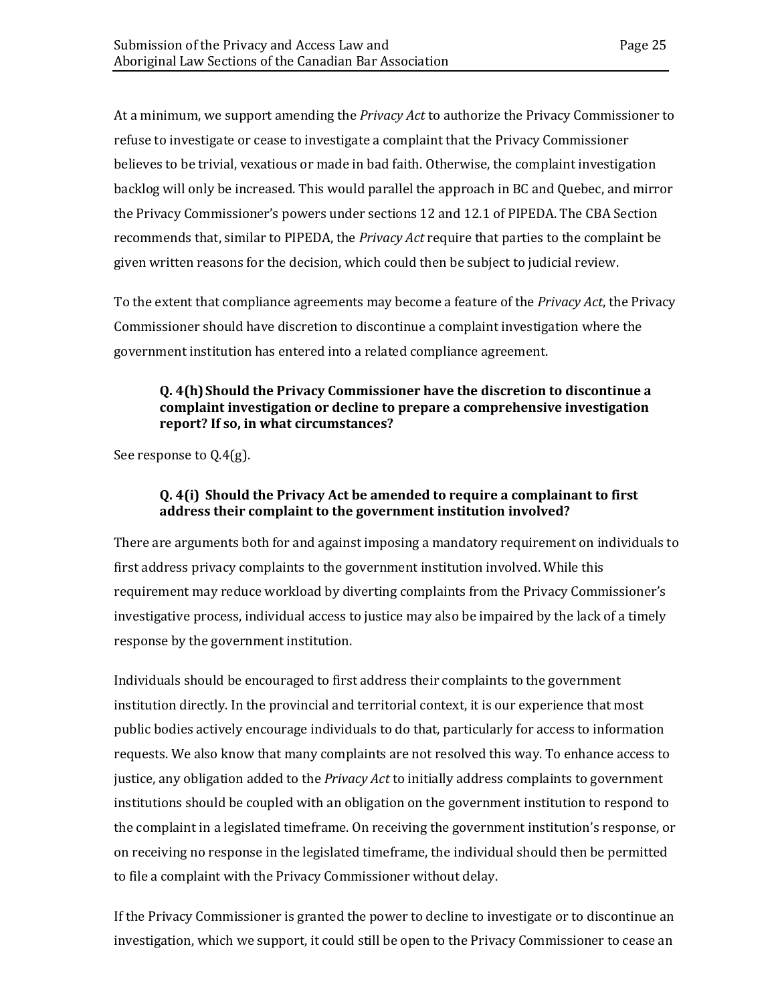At a minimum, we support amending the *Privacy Act* to authorize the Privacy Commissioner to refuse to investigate or cease to investigate a complaint that the Privacy Commissioner believes to be trivial, vexatious or made in bad faith. Otherwise, the complaint investigation backlog will only be increased. This would parallel the approach in BC and Quebec, and mirror the Privacy Commissioner's powers under sections 12 and 12.1 of PIPEDA. The CBA Section recommends that, similar to PIPEDA, the *Privacy Act* require that parties to the complaint be given written reasons for the decision, which could then be subject to judicial review.

To the extent that compliance agreements may become a feature of the *Privacy Act*, the Privacy Commissioner should have discretion to discontinue a complaint investigation where the government institution has entered into a related compliance agreement.

#### **Q. 4(h)Should the Privacy Commissioner have the discretion to discontinue a complaint investigation or decline to prepare a comprehensive investigation report? If so, in what circumstances?**

See response to Q.4(g).

#### **Q. 4(i) Should the Privacy Act be amended to require a complainant to first address their complaint to the government institution involved?**

There are arguments both for and against imposing a mandatory requirement on individuals to first address privacy complaints to the government institution involved. While this requirement may reduce workload by diverting complaints from the Privacy Commissioner's investigative process, individual access to justice may also be impaired by the lack of a timely response by the government institution.

Individuals should be encouraged to first address their complaints to the government institution directly. In the provincial and territorial context, it is our experience that most public bodies actively encourage individuals to do that, particularly for access to information requests. We also know that many complaints are not resolved this way. To enhance access to justice, any obligation added to the *Privacy Act* to initially address complaints to government institutions should be coupled with an obligation on the government institution to respond to the complaint in a legislated timeframe. On receiving the government institution's response, or on receiving no response in the legislated timeframe, the individual should then be permitted to file a complaint with the Privacy Commissioner without delay.

If the Privacy Commissioner is granted the power to decline to investigate or to discontinue an investigation, which we support, it could still be open to the Privacy Commissioner to cease an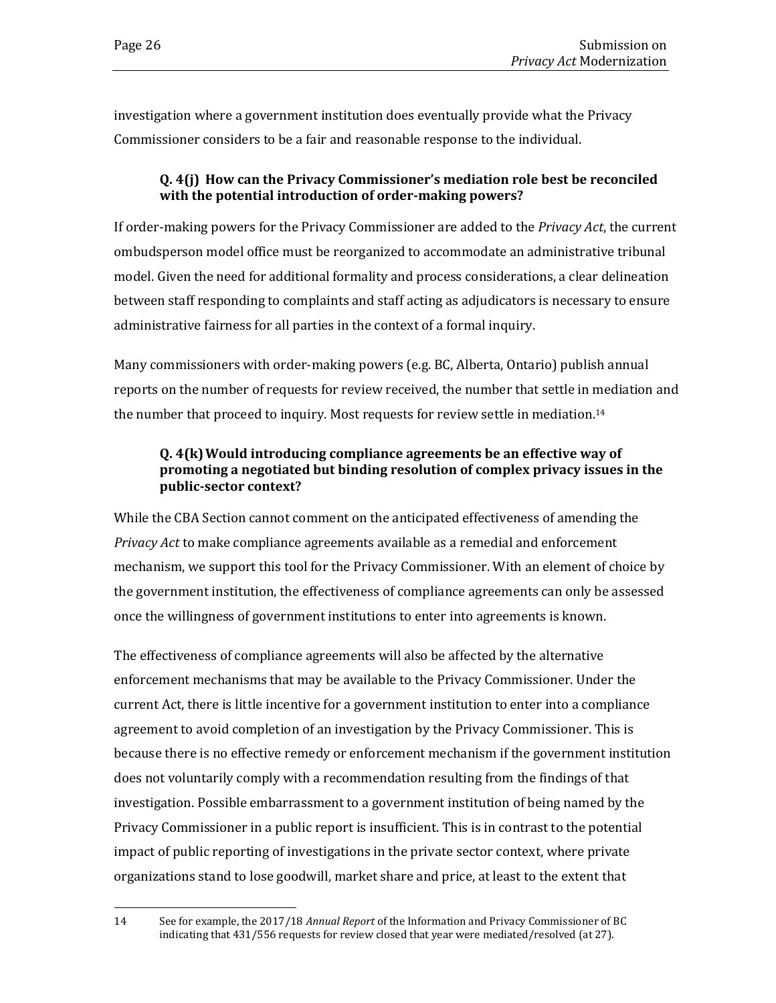investigation where a government institution does eventually provide what the Privacy Commissioner considers to be a fair and reasonable response to the individual.

#### **Q. 4(j) How can the Privacy Commissioner's mediation role best be reconciled with the potential introduction of order-making powers?**

If order-making powers for the Privacy Commissioner are added to the *Privacy Act*, the current ombudsperson model office must be reorganized to accommodate an administrative tribunal model. Given the need for additional formality and process considerations, a clear delineation between staff responding to complaints and staff acting as adjudicators is necessary to ensure administrative fairness for all parties in the context of a formal inquiry.

Many commissioners with order-making powers (e.g. BC, Alberta, Ontario) publish annual reports on the number of requests for review received, the number that settle in mediation and the number that proceed to inquiry. Most requests for review settle in mediation.<sup>14</sup>

#### **Q. 4(k)Would introducing compliance agreements be an effective way of promoting a negotiated but binding resolution of complex privacy issues in the public-sector context?**

While the CBA Section cannot comment on the anticipated effectiveness of amending the *Privacy Act* to make compliance agreements available as a remedial and enforcement mechanism, we support this tool for the Privacy Commissioner. With an element of choice by the government institution, the effectiveness of compliance agreements can only be assessed once the willingness of government institutions to enter into agreements is known.

The effectiveness of compliance agreements will also be affected by the alternative enforcement mechanisms that may be available to the Privacy Commissioner. Under the current Act, there is little incentive for a government institution to enter into a compliance agreement to avoid completion of an investigation by the Privacy Commissioner. This is because there is no effective remedy or enforcement mechanism if the government institution does not voluntarily comply with a recommendation resulting from the findings of that investigation. Possible embarrassment to a government institution of being named by the Privacy Commissioner in a public report is insufficient. This is in contrast to the potential impact of public reporting of investigations in the private sector context, where private organizations stand to lose goodwill, market share and price, at least to the extent that

<sup>14</sup> See for example, the 2017/18 *Annual Report* of the Information and Privacy Commissioner of BC indicating that 431/556 requests for review closed that year were mediated/resolved (at 27).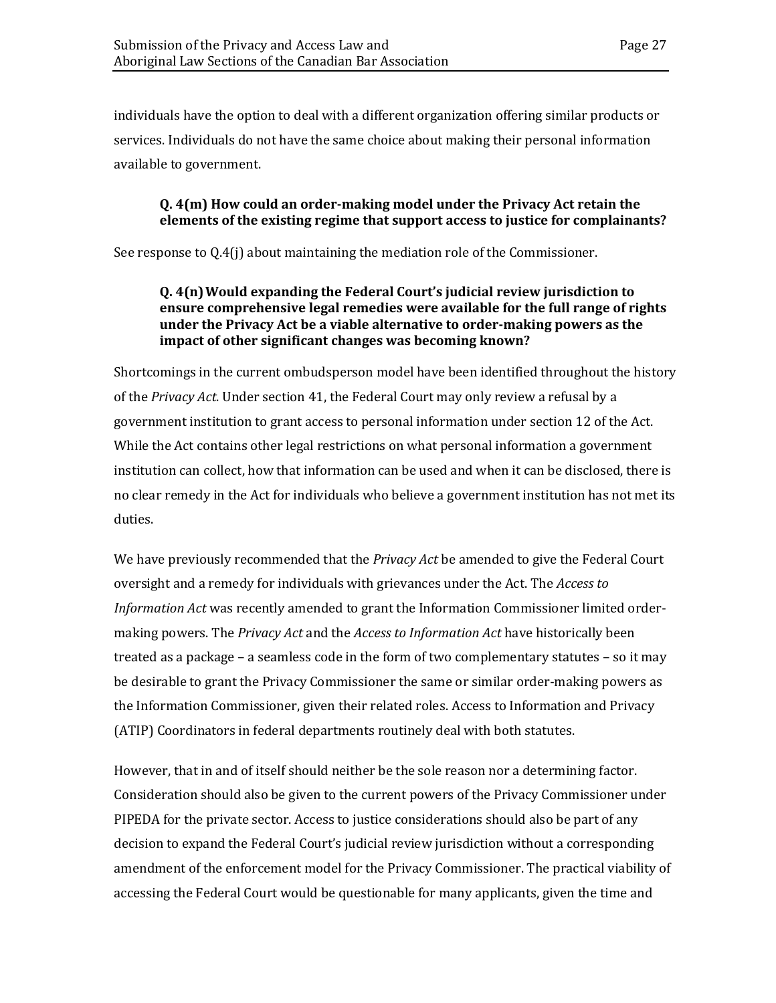individuals have the option to deal with a different organization offering similar products or services. Individuals do not have the same choice about making their personal information available to government.

#### **Q. 4(m) How could an order-making model under the Privacy Act retain the elements of the existing regime that support access to justice for complainants?**

See response to Q.4(j) about maintaining the mediation role of the Commissioner.

#### **Q. 4(n)Would expanding the Federal Court's judicial review jurisdiction to ensure comprehensive legal remedies were available for the full range of rights under the Privacy Act be a viable alternative to order-making powers as the impact of other significant changes was becoming known?**

Shortcomings in the current ombudsperson model have been identified throughout the history of the *Privacy Act*. Under section 41, the Federal Court may only review a refusal by a government institution to grant access to personal information under section 12 of the Act. While the Act contains other legal restrictions on what personal information a government institution can collect, how that information can be used and when it can be disclosed, there is no clear remedy in the Act for individuals who believe a government institution has not met its duties.

We have previously recommended that the *Privacy Act* be amended to give the Federal Court oversight and a remedy for individuals with grievances under the Act. The *Access to Information Act* was recently amended to grant the Information Commissioner limited ordermaking powers. The *Privacy Act* and the *Access to Information Act* have historically been treated as a package – a seamless code in the form of two complementary statutes – so it may be desirable to grant the Privacy Commissioner the same or similar order-making powers as the Information Commissioner, given their related roles. Access to Information and Privacy (ATIP) Coordinators in federal departments routinely deal with both statutes.

However, that in and of itself should neither be the sole reason nor a determining factor. Consideration should also be given to the current powers of the Privacy Commissioner under PIPEDA for the private sector. Access to justice considerations should also be part of any decision to expand the Federal Court's judicial review jurisdiction without a corresponding amendment of the enforcement model for the Privacy Commissioner. The practical viability of accessing the Federal Court would be questionable for many applicants, given the time and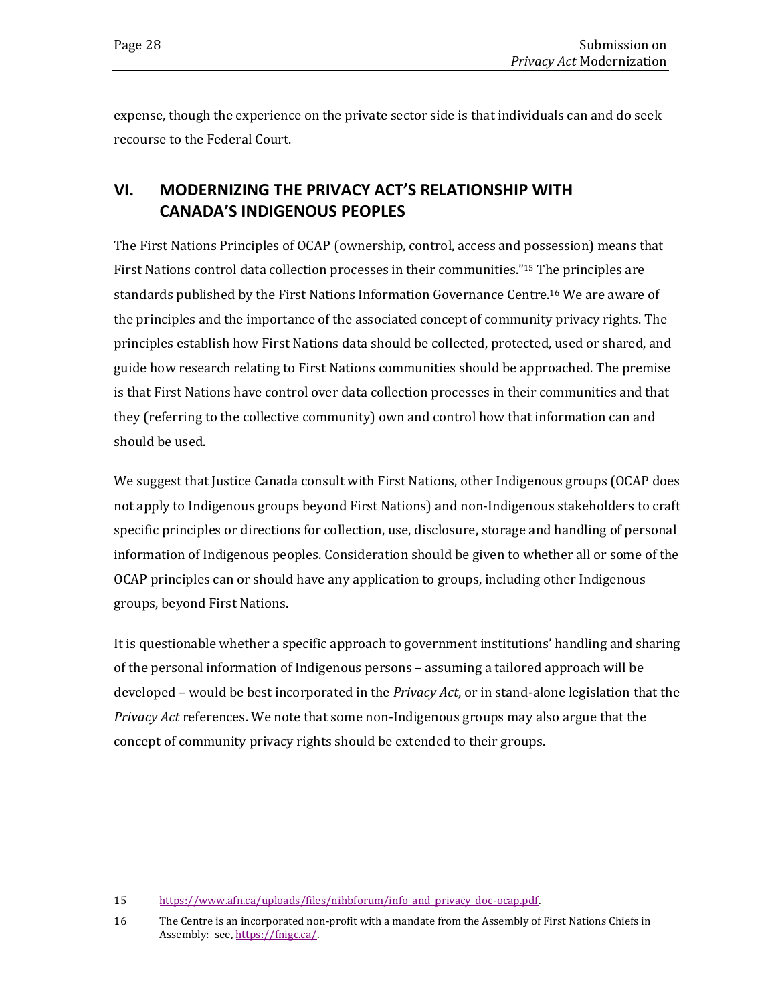expense, though the experience on the private sector side is that individuals can and do seek recourse to the Federal Court.

## <span id="page-31-0"></span>**VI. MODERNIZING THE PRIVACY ACT'S RELATIONSHIP WITH CANADA'S INDIGENOUS PEOPLES**

The First Nations Principles of OCAP (ownership, control, access and possession) means that First Nations control data collection processes in their communities."<sup>15</sup> The principles are standards published by the First Nations Information Governance Centre. <sup>16</sup> We are aware of the principles and the importance of the associated concept of community privacy rights. The principles establish how First Nations data should be collected, protected, used or shared, and guide how research relating to First Nations communities should be approached. The premise is that First Nations have control over data collection processes in their communities and that they (referring to the collective community) own and control how that information can and should be used.

We suggest that Justice Canada consult with First Nations, other Indigenous groups (OCAP does not apply to Indigenous groups beyond First Nations) and non-Indigenous stakeholders to craft specific principles or directions for collection, use, disclosure, storage and handling of personal information of Indigenous peoples. Consideration should be given to whether all or some of the OCAP principles can or should have any application to groups, including other Indigenous groups, beyond First Nations.

It is questionable whether a specific approach to government institutions' handling and sharing of the personal information of Indigenous persons – assuming a tailored approach will be developed – would be best incorporated in the *Privacy Act*, or in stand-alone legislation that the *Privacy Act* references. We note that some non-Indigenous groups may also argue that the concept of community privacy rights should be extended to their groups.

<sup>15</sup> [https://www.afn.ca/uploads/files/nihbforum/info\\_and\\_privacy\\_doc-ocap.pdf.](https://www.afn.ca/uploads/files/nihbforum/info_and_privacy_doc-ocap.pdf)

<sup>16</sup> The Centre is an incorporated non-profit with a mandate from the Assembly of First Nations Chiefs in Assembly: see, [https://fnigc.ca/.](https://fnigc.ca/)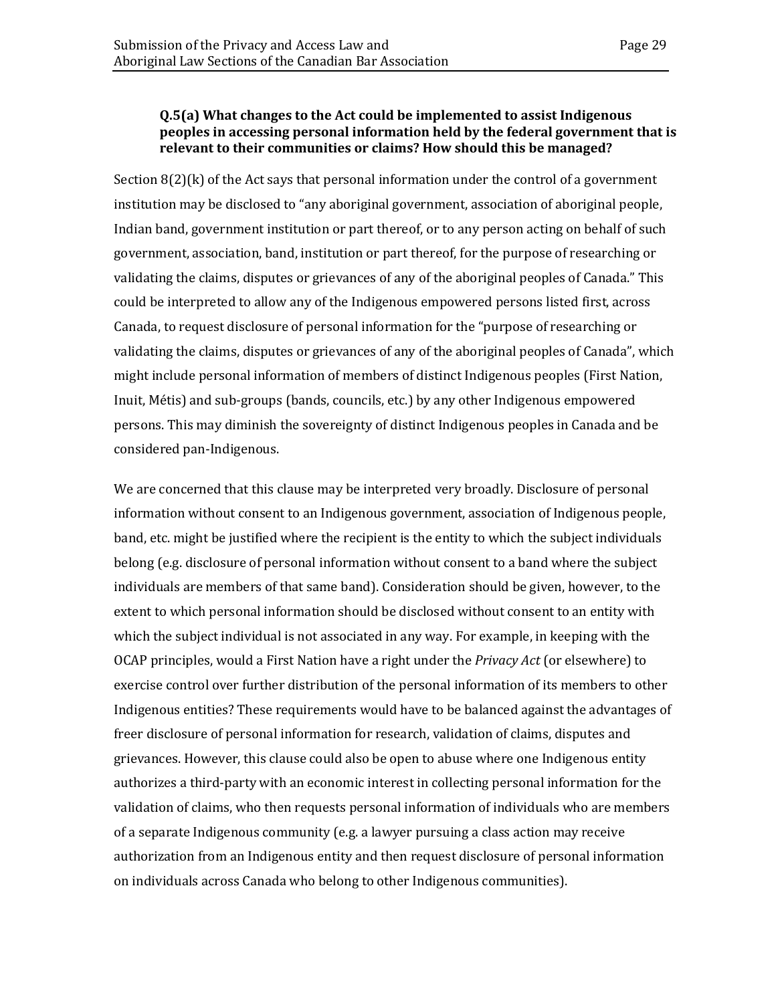#### **Q.5(a) What changes to the Act could be implemented to assist Indigenous peoples in accessing personal information held by the federal government that is relevant to their communities or claims? How should this be managed?**

Section  $8(2)$ (k) of the Act says that personal information under the control of a government institution may be disclosed to "any aboriginal government, association of aboriginal people, Indian band, government institution or part thereof, or to any person acting on behalf of such government, association, band, institution or part thereof, for the purpose of researching or validating the claims, disputes or grievances of any of the aboriginal peoples of Canada." This could be interpreted to allow any of the Indigenous empowered persons listed first, across Canada, to request disclosure of personal information for the "purpose of researching or validating the claims, disputes or grievances of any of the aboriginal peoples of Canada", which might include personal information of members of distinct Indigenous peoples (First Nation, Inuit, Métis) and sub-groups (bands, councils, etc.) by any other Indigenous empowered persons. This may diminish the sovereignty of distinct Indigenous peoples in Canada and be considered pan-Indigenous.

We are concerned that this clause may be interpreted very broadly. Disclosure of personal information without consent to an Indigenous government, association of Indigenous people, band, etc. might be justified where the recipient is the entity to which the subject individuals belong (e.g. disclosure of personal information without consent to a band where the subject individuals are members of that same band). Consideration should be given, however, to the extent to which personal information should be disclosed without consent to an entity with which the subject individual is not associated in any way. For example, in keeping with the OCAP principles, would a First Nation have a right under the *Privacy Act* (or elsewhere) to exercise control over further distribution of the personal information of its members to other Indigenous entities? These requirements would have to be balanced against the advantages of freer disclosure of personal information for research, validation of claims, disputes and grievances. However, this clause could also be open to abuse where one Indigenous entity authorizes a third-party with an economic interest in collecting personal information for the validation of claims, who then requests personal information of individuals who are members of a separate Indigenous community (e.g. a lawyer pursuing a class action may receive authorization from an Indigenous entity and then request disclosure of personal information on individuals across Canada who belong to other Indigenous communities).